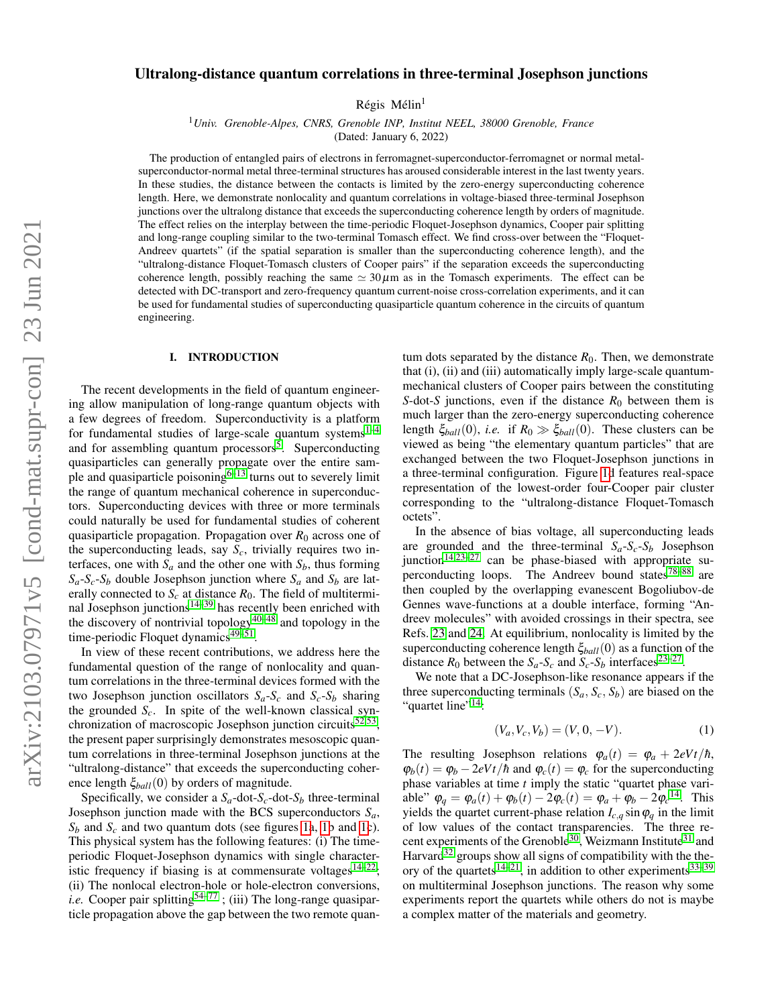# Ultralong-distance quantum correlations in three-terminal Josephson junctions

Régis Mélin<sup>1</sup>

<sup>1</sup>*Univ. Grenoble-Alpes, CNRS, Grenoble INP, Institut NEEL, 38000 Grenoble, France*

(Dated: January 6, 2022)

The production of entangled pairs of electrons in ferromagnet-superconductor-ferromagnet or normal metalsuperconductor-normal metal three-terminal structures has aroused considerable interest in the last twenty years. In these studies, the distance between the contacts is limited by the zero-energy superconducting coherence length. Here, we demonstrate nonlocality and quantum correlations in voltage-biased three-terminal Josephson junctions over the ultralong distance that exceeds the superconducting coherence length by orders of magnitude. The effect relies on the interplay between the time-periodic Floquet-Josephson dynamics, Cooper pair splitting and long-range coupling similar to the two-terminal Tomasch effect. We find cross-over between the "Floquet-Andreev quartets" (if the spatial separation is smaller than the superconducting coherence length), and the "ultralong-distance Floquet-Tomasch clusters of Cooper pairs" if the separation exceeds the superconducting coherence length, possibly reaching the same  $\simeq 30 \mu m$  as in the Tomasch experiments. The effect can be detected with DC-transport and zero-frequency quantum current-noise cross-correlation experiments, and it can be used for fundamental studies of superconducting quasiparticle quantum coherence in the circuits of quantum engineering.

## I. INTRODUCTION

The recent developments in the field of quantum engineering allow manipulation of long-range quantum objects with a few degrees of freedom. Superconductivity is a platform for fundamental studies of large-scale quantum systems $1-4$  $1-4$ and for assembling quantum processors<sup>[5](#page-17-2)</sup>. Superconducting quasiparticles can generally propagate over the entire sample and quasiparticle poisoning $6-13$  $6-13$  turns out to severely limit the range of quantum mechanical coherence in superconductors. Superconducting devices with three or more terminals could naturally be used for fundamental studies of coherent quasiparticle propagation. Propagation over  $R_0$  across one of the superconducting leads, say  $S_c$ , trivially requires two interfaces, one with  $S_a$  and the other one with  $S_b$ , thus forming  $S_a - S_c - S_b$  double Josephson junction where  $S_a$  and  $S_b$  are laterally connected to  $S_c$  at distance  $R_0$ . The field of multitermi-nal Josephson junctions<sup>[14–](#page-17-5)[39](#page-18-0)</sup> has recently been enriched with the discovery of nontrivial topology<sup>[40–](#page-18-1)[48](#page-18-2)</sup> and topology in the time-periodic Floquet dynamics<sup>[49](#page-18-3)[–51](#page-18-4)</sup>.

In view of these recent contributions, we address here the fundamental question of the range of nonlocality and quantum correlations in the three-terminal devices formed with the two Josephson junction oscillators  $S_a - S_c$  and  $S_c - S_b$  sharing the grounded  $S_c$ . In spite of the well-known classical syn-chronization of macroscopic Josephson junction circuits<sup>[52,](#page-18-5)[53](#page-18-6)</sup>, the present paper surprisingly demonstrates mesoscopic quantum correlations in three-terminal Josephson junctions at the "ultralong-distance" that exceeds the superconducting coherence length ξ*ball*(0) by orders of magnitude.

Specifically, we consider a  $S_a$ -dot- $S_c$ -dot- $S_b$  three-terminal Josephson junction made with the BCS superconductors  $S_a$ ,  $S_b$  and  $S_c$  and two quantum dots (see figures [1a](#page-1-0), [1b](#page-1-0) and [1c](#page-1-0)). This physical system has the following features: (i) The timeperiodic Floquet-Josephson dynamics with single characteristic frequency if biasing is at commensurate voltages $14-22$  $14-22$ ; (ii) The nonlocal electron-hole or hole-electron conversions, *i.e.* Cooper pair splitting<sup>[54](#page-18-8)[–77](#page-19-0)</sup>; (iii) The long-range quasiparticle propagation above the gap between the two remote quantum dots separated by the distance  $R_0$ . Then, we demonstrate that (i), (ii) and (iii) automatically imply large-scale quantummechanical clusters of Cooper pairs between the constituting *S*-dot-*S* junctions, even if the distance  $R_0$  between them is much larger than the zero-energy superconducting coherence length  $\xi_{ball}(0)$ , *i.e.* if  $R_0 \gg \xi_{ball}(0)$ . These clusters can be viewed as being "the elementary quantum particles" that are exchanged between the two Floquet-Josephson junctions in a three-terminal configuration. Figure [1d](#page-1-0) features real-space representation of the lowest-order four-Cooper pair cluster corresponding to the "ultralong-distance Floquet-Tomasch octets".

In the absence of bias voltage, all superconducting leads are grounded and the three-terminal  $S_a - S_c - S_b$  Josephson junction<sup>[14,](#page-17-5)[23](#page-18-9)-27</sup> can be phase-biased with appropriate superconducting loops. The Andreev bound states $78-88$  $78-88$  are then coupled by the overlapping evanescent Bogoliubov-de Gennes wave-functions at a double interface, forming "Andreev molecules" with avoided crossings in their spectra, see Refs. [23](#page-18-9) and [24.](#page-18-11) At equilibrium, nonlocality is limited by the superconducting coherence length ξ*ball*(0) as a function of the distance  $R_0$  between the  $S_a - S_c$  and  $S_c - S_b$  interfaces<sup>[23–](#page-18-9)[27](#page-18-10)</sup>.

We note that a DC-Josephson-like resonance appears if the three superconducting terminals  $(S_a, S_c, S_b)$  are biased on the "quartet line"<sup>[14](#page-17-5)</sup>:

<span id="page-0-0"></span>
$$
(V_a, V_c, V_b) = (V, 0, -V). \tag{1}
$$

The resulting Josephson relations  $\varphi_a(t) = \varphi_a + 2eVt/\hbar$ ,  $\varphi_b(t) = \varphi_b - 2eVt/\hbar$  and  $\varphi_c(t) = \varphi_c$  for the superconducting phase variables at time *t* imply the static "quartet phase variable"  $\varphi_q = \varphi_a(t) + \varphi_b(t) - 2\varphi_c(t) = \varphi_a + \varphi_b - 2\varphi_c^{14}$  $\varphi_q = \varphi_a(t) + \varphi_b(t) - 2\varphi_c(t) = \varphi_a + \varphi_b - 2\varphi_c^{14}$  $\varphi_q = \varphi_a(t) + \varphi_b(t) - 2\varphi_c(t) = \varphi_a + \varphi_b - 2\varphi_c^{14}$ . This yields the quartet current-phase relation  $I_{c,q}$  sin  $\varphi_q$  in the limit of low values of the contact transparencies. The three re-cent experiments of the Grenoble<sup>[30](#page-18-12)</sup>, Weizmann Institute<sup>[31](#page-18-13)</sup> and Harvard $32$  groups show all signs of compatibility with the the-ory of the quartets<sup>[14–](#page-17-5)[21](#page-18-15)</sup>, in addition to other experiments<sup>[33–](#page-18-16)[39](#page-18-0)</sup> on multiterminal Josephson junctions. The reason why some experiments report the quartets while others do not is maybe a complex matter of the materials and geometry.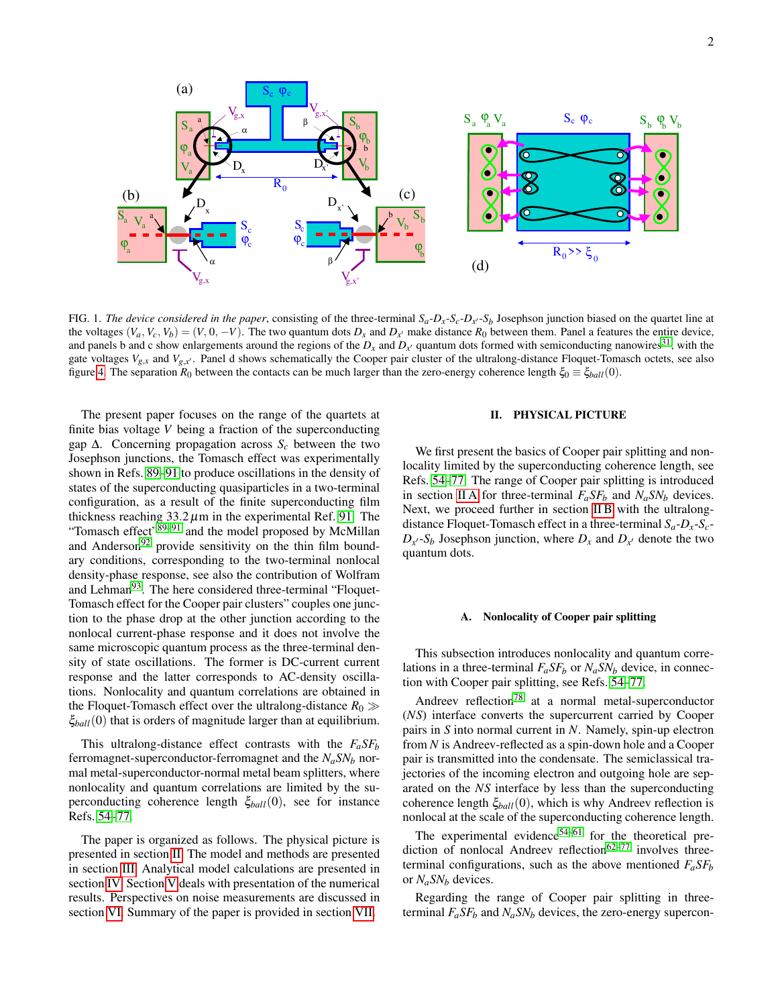

<span id="page-1-0"></span>FIG. 1. *The device considered in the paper*, consisting of the three-terminal  $S_a - D_x - S_c - D_x - S_b$  Josephson junction biased on the quartet line at the voltages  $(V_a, V_c, V_b) = (V, 0, -V)$ . The two quantum dots  $D_x$  and  $D_{x'}$  make distance  $R_0$  between them. Panel a features the entire device, and panels b and c show enlargements around the regions of the  $D_x$  and  $D_{x'}$  quantum dots formed with semiconducting nanowires<sup>[31](#page-18-13)</sup>, with the gate voltages  $V_{g,x}$  and  $V_{g,x'}$ . Panel d shows schematically the Cooper pair cluster of the ultralong-distance Floquet-Tomasch octets, see also figure [4.](#page-2-0) The separation  $R_0$  between the contacts can be much larger than the zero-energy coherence length  $\xi_0 \equiv \xi_{ball}(0)$ .

The present paper focuses on the range of the quartets at finite bias voltage *V* being a fraction of the superconducting gap ∆. Concerning propagation across *S<sup>c</sup>* between the two Josephson junctions, the Tomasch effect was experimentally shown in Refs. [89](#page-19-3)[–91](#page-19-4) to produce oscillations in the density of states of the superconducting quasiparticles in a two-terminal configuration, as a result of the finite superconducting film thickness reaching  $33.2 \mu m$  in the experimental Ref. [91.](#page-19-4) The "Tomasch effect"<sup>[89](#page-19-3)[–91](#page-19-4)</sup> and the model proposed by McMillan and Anderson<sup>[92](#page-19-5)</sup> provide sensitivity on the thin film boundary conditions, corresponding to the two-terminal nonlocal density-phase response, see also the contribution of Wolfram and Lehman<sup>[93](#page-19-6)</sup>. The here considered three-terminal "Floquet-Tomasch effect for the Cooper pair clusters" couples one junction to the phase drop at the other junction according to the nonlocal current-phase response and it does not involve the same microscopic quantum process as the three-terminal density of state oscillations. The former is DC-current current response and the latter corresponds to AC-density oscillations. Nonlocality and quantum correlations are obtained in the Floquet-Tomasch effect over the ultralong-distance  $R_0 \gg$ ξ*ball*(0) that is orders of magnitude larger than at equilibrium.

This ultralong-distance effect contrasts with the  $F_a$ *SFb* ferromagnet-superconductor-ferromagnet and the *NaSN<sup>b</sup>* normal metal-superconductor-normal metal beam splitters, where nonlocality and quantum correlations are limited by the superconducting coherence length ξ*ball*(0), see for instance Refs. [54](#page-18-8)[–77.](#page-19-0)

The paper is organized as follows. The physical picture is presented in section [II.](#page-1-1) The model and methods are presented in section [III.](#page-3-0) Analytical model calculations are presented in section [IV.](#page-6-0) Section [V](#page-9-0) deals with presentation of the numerical results. Perspectives on noise measurements are discussed in section [VI.](#page-12-0) Summary of the paper is provided in section [VII.](#page-13-0)

## <span id="page-1-1"></span>II. PHYSICAL PICTURE

We first present the basics of Cooper pair splitting and nonlocality limited by the superconducting coherence length, see Refs. [54](#page-18-8)[–77.](#page-19-0) The range of Cooper pair splitting is introduced in section [II A](#page-1-2) for three-terminal  $F_a S F_b$  and  $N_a S N_b$  devices. Next, we proceed further in section [II B](#page-2-1) with the ultralongdistance Floquet-Tomasch effect in a three-terminal  $S_a - D_x - S_c$  $D_{x}$  *S<sub>b</sub>* Josephson junction, where  $D_x$  and  $D_{x}$  denote the two quantum dots.

### <span id="page-1-2"></span>A. Nonlocality of Cooper pair splitting

This subsection introduces nonlocality and quantum correlations in a three-terminal  $F_a$ *SF<sub>b</sub>* or  $N_a$ *SN<sub>b</sub>* device, in connection with Cooper pair splitting, see Refs. [54](#page-18-8)[–77.](#page-19-0)

Andreev reflection<sup>[78](#page-19-1)</sup> at a normal metal-superconductor (*NS*) interface converts the supercurrent carried by Cooper pairs in *S* into normal current in *N*. Namely, spin-up electron from *N* is Andreev-reflected as a spin-down hole and a Cooper pair is transmitted into the condensate. The semiclassical trajectories of the incoming electron and outgoing hole are separated on the *NS* interface by less than the superconducting coherence length ξ*ball*(0), which is why Andreev reflection is nonlocal at the scale of the superconducting coherence length.

The experimental evidence $54-61$  $54-61$  for the theoretical prediction of nonlocal Andreev reflection $62-77$  $62-77$  involves threeterminal configurations, such as the above mentioned  $F_a S F_b$ or *NaSN<sup>b</sup>* devices.

Regarding the range of Cooper pair splitting in threeterminal  $F_a$ *SF<sub>b</sub>* and  $N_a$ *SN<sub>b</sub>* devices, the zero-energy supercon-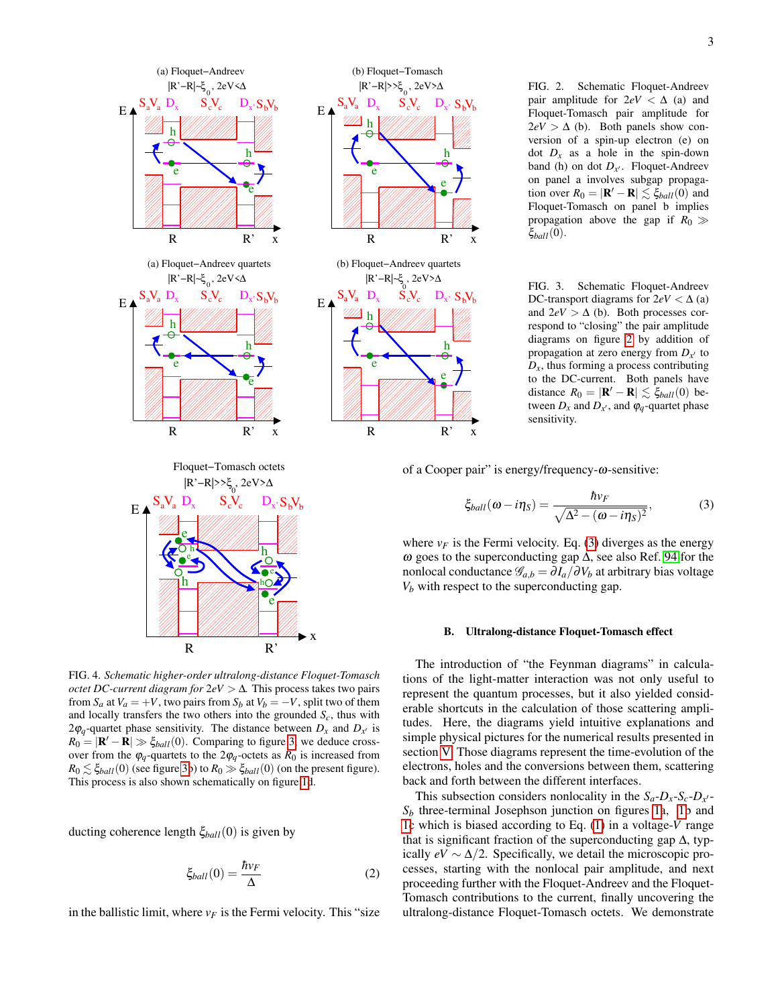<span id="page-2-2"></span>FIG. 2. Schematic Floquet-Andreev pair amplitude for  $2eV < \Delta$  (a) and Floquet-Tomasch pair amplitude for  $2eV > \Delta$  (b). Both panels show conversion of a spin-up electron (e) on dot  $D_x$  as a hole in the spin-down band (h) on dot  $D_{x'}$ . Floquet-Andreev on panel a involves subgap propagation over  $R_0 = |\mathbf{R}' - \mathbf{R}| \lesssim \xi_{ball}(0)$  and Floquet-Tomasch on panel b implies propagation above the gap if  $R_0 \gg$ ξ*ball*(0).

<span id="page-2-3"></span>FIG. 3. Schematic Floquet-Andreev DC-transport diagrams for  $2eV < \Delta$  (a) and  $2eV > \Delta$  (b). Both processes correspond to "closing" the pair amplitude diagrams on figure [2](#page-2-2) by addition of propagation at zero energy from  $D_{x}$  to  $D<sub>x</sub>$ , thus forming a process contributing to the DC-current. Both panels have distance  $R_0 = |\mathbf{R}' - \mathbf{R}| \lesssim \xi_{ball}(0)$  between  $D_x$  and  $D_{x'}$ , and  $\varphi_q$ -quartet phase sensitivity.

of a Cooper pair" is energy/frequency-ω-sensitive:

 $S_a V_a$   $D_x$   $S_c V_c$   $D_x$ ,  $S_b$ 

|R'−R|>>ξ<sub>0</sub>, 2eV>∆

e

 $S_a V_a$   $D_x$   $S_c V_c$   $D_x S_b$ 

|R'−R|~ , 2eV> ξ ∆ 0

 $e^+$ 

h *Willi* 

h *Willi* 

 $h \rightarrow$ 

 $e \mathcal{T}$ 

 $h \rightarrow$ 

 $e \mathcal{T}$ 

 $D_{x}$ ,  $S_{h}V_{h}$ 

 $S_c V_c$   $D_x$ ,  $S_b V_b$ 

R  $R'$  x

R  $R'$  x

<span id="page-2-4"></span>
$$
\xi_{ball}(\omega - i\eta_S) = \frac{\hbar v_F}{\sqrt{\Delta^2 - (\omega - i\eta_S)^2}},\tag{3}
$$

where  $v_F$  is the Fermi velocity. Eq. [\(3\)](#page-2-4) diverges as the energy ω goes to the superconducting gap ∆, see also Ref. [94](#page-19-9) for the nonlocal conductance  $\mathscr{G}_{a,b} = \partial I_a / \partial V_b$  at arbitrary bias voltage  $V_b$  with respect to the superconducting gap.

### <span id="page-2-1"></span>B. Ultralong-distance Floquet-Tomasch effect

The introduction of "the Feynman diagrams" in calculations of the light-matter interaction was not only useful to represent the quantum processes, but it also yielded considerable shortcuts in the calculation of those scattering amplitudes. Here, the diagrams yield intuitive explanations and simple physical pictures for the numerical results presented in section [V.](#page-9-0) Those diagrams represent the time-evolution of the electrons, holes and the conversions between them, scattering back and forth between the different interfaces.

This subsection considers nonlocality in the  $S_a - D_x - S_c - D_{x'}$  $S_b$  three-terminal Josephson junction on figures [1a](#page-1-0), [1b](#page-1-0) and [1c](#page-1-0) which is biased according to Eq. [\(1\)](#page-0-0) in a voltage-*V* range that is significant fraction of the superconducting gap  $\Delta$ , typically  $eV \sim \Delta/2$ . Specifically, we detail the microscopic processes, starting with the nonlocal pair amplitude, and next proceeding further with the Floquet-Andreev and the Floquet-Tomasch contributions to the current, finally uncovering the ultralong-distance Floquet-Tomasch octets. We demonstrate



<span id="page-2-0"></span>FIG. 4. *Schematic higher-order ultralong-distance Floquet-Tomasch octet DC-current diagram for* 2*eV* > ∆*.* This process takes two pairs from  $S_a$  at  $V_a = +V$ , two pairs from  $S_b$  at  $V_b = -V$ , split two of them and locally transfers the two others into the grounded  $S_c$ , thus with 2 $\varphi_q$ -quartet phase sensitivity. The distance between  $D_x$  and  $D_{x'}$  is  $R_0 = |\mathbf{R}' - \mathbf{R}| \gg \xi_{ball}(0)$ . Comparing to figure [3,](#page-2-3) we deduce crossover from the  $\varphi_q$ -quartets to the  $2\varphi_q$ -octets as  $R_0$  is increased from  $R_0 \lesssim \xi_{ball}(0)$  (see figure [3b](#page-2-3)) to  $R_0 \gg \xi_{ball}(0)$  (on the present figure). This process is also shown schematically on figure [1d](#page-1-0).

ducting coherence length ξ*ball*(0) is given by

<span id="page-2-5"></span>
$$
\xi_{ball}(0) = \frac{\hbar v_F}{\Delta} \tag{2}
$$

in the ballistic limit, where  $v_F$  is the Fermi velocity. This "size"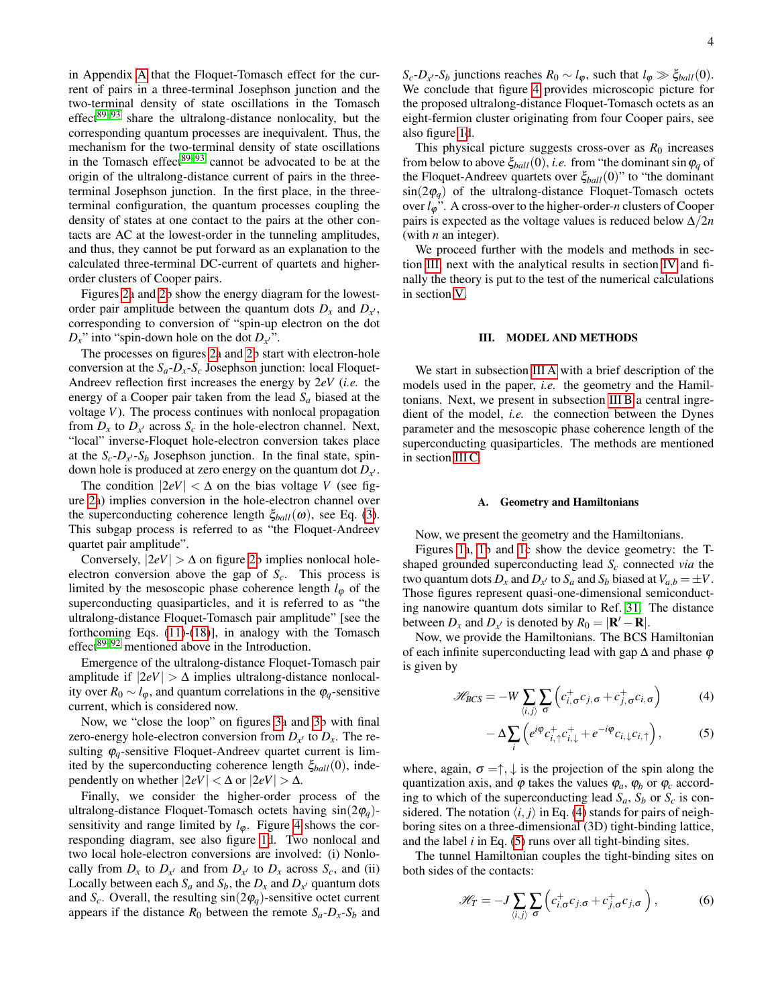in Appendix [A](#page-14-0) that the Floquet-Tomasch effect for the current of pairs in a three-terminal Josephson junction and the two-terminal density of state oscillations in the Tomasch  $effect^{89-93}$  $effect^{89-93}$  $effect^{89-93}$  share the ultralong-distance nonlocality, but the corresponding quantum processes are inequivalent. Thus, the mechanism for the two-terminal density of state oscillations in the Tomasch effect $89-93$  $89-93$  cannot be advocated to be at the origin of the ultralong-distance current of pairs in the threeterminal Josephson junction. In the first place, in the threeterminal configuration, the quantum processes coupling the density of states at one contact to the pairs at the other contacts are AC at the lowest-order in the tunneling amplitudes, and thus, they cannot be put forward as an explanation to the calculated three-terminal DC-current of quartets and higherorder clusters of Cooper pairs.

Figures [2a](#page-2-2) and [2b](#page-2-2) show the energy diagram for the lowestorder pair amplitude between the quantum dots  $D_x$  and  $D_{x}$ , corresponding to conversion of "spin-up electron on the dot  $D_x$ " into "spin-down hole on the dot  $D_{x}$ ".

The processes on figures [2a](#page-2-2) and [2b](#page-2-2) start with electron-hole conversion at the  $S_a - D_x - S_c$  Josephson junction: local Floquet-Andreev reflection first increases the energy by 2*eV* (*i.e.* the energy of a Cooper pair taken from the lead *S<sup>a</sup>* biased at the voltage *V*). The process continues with nonlocal propagation from  $D_x$  to  $D_{x'}$  across  $S_c$  in the hole-electron channel. Next, "local" inverse-Floquet hole-electron conversion takes place at the  $S_c$ - $D_{x'}$ - $S_b$  Josephson junction. In the final state, spindown hole is produced at zero energy on the quantum dot  $D_{x'}$ .

The condition  $|2eV| < \Delta$  on the bias voltage *V* (see figure [2a](#page-2-2)) implies conversion in the hole-electron channel over the superconducting coherence length  $\xi_{ball}(\omega)$ , see Eq. [\(3\)](#page-2-4). This subgap process is referred to as "the Floquet-Andreev quartet pair amplitude".

Conversely,  $|2eV| > \Delta$  on figure [2b](#page-2-2) implies nonlocal holeelectron conversion above the gap of  $S_c$ . This process is limited by the mesoscopic phase coherence length  $l_{\varphi}$  of the superconducting quasiparticles, and it is referred to as "the ultralong-distance Floquet-Tomasch pair amplitude" [see the forthcoming Eqs. [\(11\)](#page-5-0)-[\(18\)](#page-5-1)], in analogy with the Tomasch effect $89-92$  $89-92$  mentioned above in the Introduction.

Emergence of the ultralong-distance Floquet-Tomasch pair amplitude if  $|2eV| > \Delta$  implies ultralong-distance nonlocality over  $R_0 \sim l_{\varphi}$ , and quantum correlations in the  $\varphi_q$ -sensitive current, which is considered now.

Now, we "close the loop" on figures [3a](#page-2-3) and [3b](#page-2-3) with final zero-energy hole-electron conversion from  $D_{x'}$  to  $D_x$ . The resulting  $\varphi_q$ -sensitive Floquet-Andreev quartet current is limited by the superconducting coherence length  $\xi_{ball}(0)$ , independently on whether  $|2eV| < \Delta$  or  $|2eV| > \Delta$ .

Finally, we consider the higher-order process of the ultralong-distance Floquet-Tomasch octets having sin(2ϕ*q*) sensitivity and range limited by  $l_{\varphi}$ . Figure [4](#page-2-0) shows the corresponding diagram, see also figure [1d](#page-1-0). Two nonlocal and two local hole-electron conversions are involved: (i) Nonlocally from  $D_x$  to  $D_{x'}$  and from  $D_{x'}$  to  $D_x$  across  $S_c$ , and (ii) Locally between each  $S_a$  and  $S_b$ , the  $D_x$  and  $D_{x'}$  quantum dots and  $S_c$ . Overall, the resulting  $sin(2\varphi_q)$ -sensitive octet current appears if the distance  $R_0$  between the remote  $S_a - D_x - S_b$  and

 $S_c$ -*D*<sub>*x*</sub> $\cdot$ -*S*<sup>*b*</sup> junctions reaches  $R_0 \sim l_{\phi}$ , such that  $l_{\phi} \gg \xi_{ball}(0)$ . We conclude that figure [4](#page-2-0) provides microscopic picture for the proposed ultralong-distance Floquet-Tomasch octets as an eight-fermion cluster originating from four Cooper pairs, see also figure [1d](#page-1-0).

This physical picture suggests cross-over as  $R_0$  increases from below to above  $\zeta_{ball}(0)$ , *i.e.* from "the dominant sin  $\varphi_q$  of the Floquet-Andreev quartets over ξ*ball*(0)" to "the dominant  $\sin(2\varphi_q)$  of the ultralong-distance Floquet-Tomasch octets over *l*ϕ". A cross-over to the higher-order-*n* clusters of Cooper pairs is expected as the voltage values is reduced below  $\Delta/2n$ (with *n* an integer).

We proceed further with the models and methods in section [III,](#page-3-0) next with the analytical results in section [IV](#page-6-0) and finally the theory is put to the test of the numerical calculations in section [V.](#page-9-0)

#### <span id="page-3-0"></span>III. MODEL AND METHODS

We start in subsection [III A](#page-3-1) with a brief description of the models used in the paper, *i.e.* the geometry and the Hamiltonians. Next, we present in subsection [III B](#page-5-2) a central ingredient of the model, *i.e.* the connection between the Dynes parameter and the mesoscopic phase coherence length of the superconducting quasiparticles. The methods are mentioned in section [III C.](#page-6-1)

#### <span id="page-3-1"></span>A. Geometry and Hamiltonians

Now, we present the geometry and the Hamiltonians.

Figures [1a](#page-1-0), [1b](#page-1-0) and [1c](#page-1-0) show the device geometry: the Tshaped grounded superconducting lead *S<sup>c</sup>* connected *via* the two quantum dots  $D_x$  and  $D_{x'}$  to  $S_a$  and  $S_b$  biased at  $V_{a,b} = \pm V$ . Those figures represent quasi-one-dimensional semiconducting nanowire quantum dots similar to Ref. [31.](#page-18-13) The distance between  $D_x$  and  $D_{x'}$  is denoted by  $R_0 = |\mathbf{R}' - \mathbf{R}|$ .

Now, we provide the Hamiltonians. The BCS Hamiltonian of each infinite superconducting lead with gap  $\Delta$  and phase  $\varphi$ is given by

<span id="page-3-2"></span>
$$
\mathcal{H}_{BCS} = -W \sum_{\langle i,j \rangle} \sum_{\sigma} \left( c_{i,\sigma}^{+} c_{j,\sigma} + c_{j,\sigma}^{+} c_{i,\sigma} \right) \tag{4}
$$

$$
-\Delta \sum_{i} \left( e^{i\varphi} c_{i,\uparrow}^{+} c_{i,\downarrow}^{+} + e^{-i\varphi} c_{i,\downarrow} c_{i,\uparrow} \right), \tag{5}
$$

where, again,  $\sigma = \uparrow, \downarrow$  is the projection of the spin along the quantization axis, and  $\varphi$  takes the values  $\varphi_a$ ,  $\varphi_b$  or  $\varphi_c$  according to which of the superconducting lead  $S_a$ ,  $S_b$  or  $S_c$  is considered. The notation  $\langle i, j \rangle$  in Eq. [\(4\)](#page-3-2) stands for pairs of neighboring sites on a three-dimensional (3D) tight-binding lattice, and the label *i* in Eq. [\(5\)](#page-3-2) runs over all tight-binding sites.

The tunnel Hamiltonian couples the tight-binding sites on both sides of the contacts:

<span id="page-3-3"></span>
$$
\mathcal{H}_T = -J \sum_{\langle i,j \rangle} \sum_{\sigma} \left( c^+_{i,\sigma} c_{j,\sigma} + c^+_{j,\sigma} c_{j,\sigma} \right), \tag{6}
$$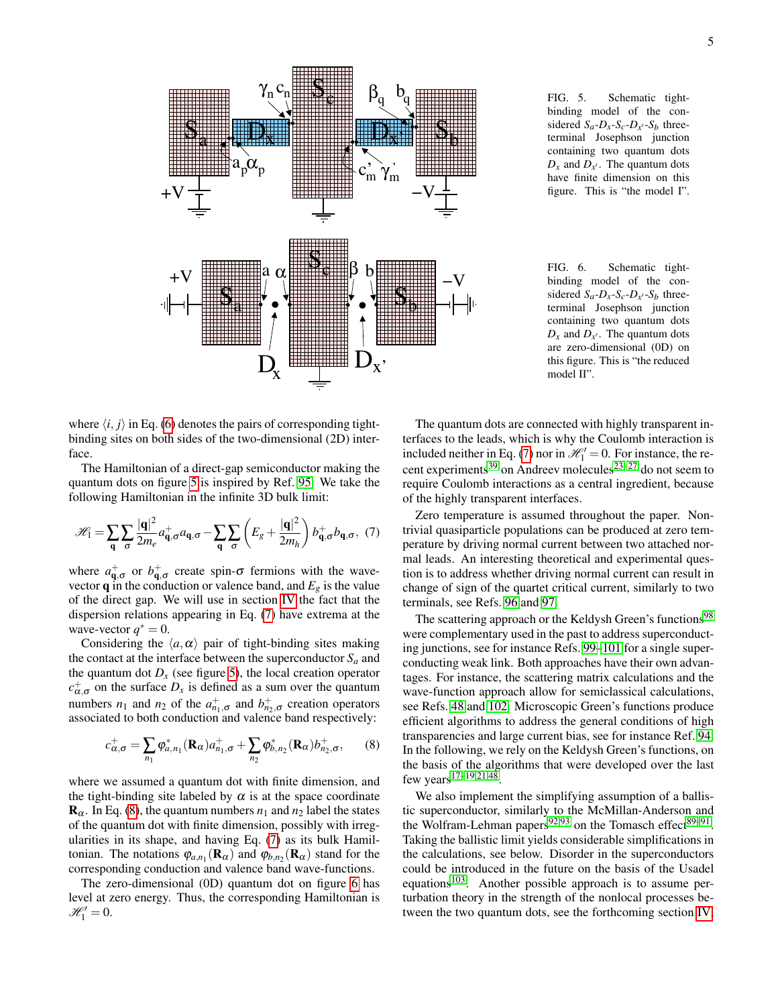

where  $\langle i, j \rangle$  in Eq. [\(6\)](#page-3-3) denotes the pairs of corresponding tightbinding sites on both sides of the two-dimensional (2D) interface.

The Hamiltonian of a direct-gap semiconductor making the quantum dots on figure [5](#page-4-0) is inspired by Ref. [95.](#page-19-10) We take the following Hamiltonian in the infinite 3D bulk limit:

<span id="page-4-1"></span>
$$
\mathcal{H}_1 = \sum_{\mathbf{q}} \sum_{\sigma} \frac{|\mathbf{q}|^2}{2m_e} a_{\mathbf{q},\sigma}^+ a_{\mathbf{q},\sigma} - \sum_{\mathbf{q}} \sum_{\sigma} \left( E_g + \frac{|\mathbf{q}|^2}{2m_h} \right) b_{\mathbf{q},\sigma}^+ b_{\mathbf{q},\sigma}, \tag{7}
$$

where  $a_{\mathbf{q},\sigma}^+$  or  $b_{\mathbf{q},\sigma}^+$  create spin- $\sigma$  fermions with the wavevector **q** in the conduction or valence band, and  $E_g$  is the value of the direct gap. We will use in section [IV](#page-6-0) the fact that the dispersion relations appearing in Eq. [\(7\)](#page-4-1) have extrema at the wave-vector  $q^* = 0$ .

Considering the  $\langle a, \alpha \rangle$  pair of tight-binding sites making the contact at the interface between the superconductor  $S_a$  and the quantum dot  $D_x$  (see figure [5\)](#page-4-0), the local creation operator  $c_{\alpha,\sigma}^{+}$  on the surface  $D_x$  is defined as a sum over the quantum numbers *n*<sub>1</sub> and *n*<sub>2</sub> of the  $a_{n_1,\sigma}^+$  and  $b_{n_2,\sigma}^+$  creation operators associated to both conduction and valence band respectively:

<span id="page-4-2"></span>
$$
c_{\alpha,\sigma}^{+} = \sum_{n_1} \varphi_{a,n_1}^{*}(\mathbf{R}_{\alpha}) a_{n_1,\sigma}^{+} + \sum_{n_2} \varphi_{b,n_2}^{*}(\mathbf{R}_{\alpha}) b_{n_2,\sigma}^{+}, \qquad (8)
$$

where we assumed a quantum dot with finite dimension, and the tight-binding site labeled by  $\alpha$  is at the space coordinate  $\mathbf{R}_{\alpha}$ . In Eq. [\(8\)](#page-4-2), the quantum numbers  $n_1$  and  $n_2$  label the states of the quantum dot with finite dimension, possibly with irregularities in its shape, and having Eq. [\(7\)](#page-4-1) as its bulk Hamiltonian. The notations  $\varphi_{a,n_1}(\mathbf{R}_{\alpha})$  and  $\varphi_{b,n_2}(\mathbf{R}_{\alpha})$  stand for the corresponding conduction and valence band wave-functions.

The zero-dimensional (0D) quantum dot on figure [6](#page-4-3) has level at zero energy. Thus, the corresponding Hamiltonian is  $\mathscr{H}_1' = 0.$ 

<span id="page-4-3"></span><span id="page-4-0"></span>FIG. 6. Schematic tightbinding model of the considered  $S_a - D_x - S_c - D_{x'} - S_b$  threeterminal Josephson junction containing two quantum dots  $D_x$  and  $D_{x'}$ . The quantum dots are zero-dimensional (0D) on this figure. This is "the reduced model II".

The quantum dots are connected with highly transparent interfaces to the leads, which is why the Coulomb interaction is included neither in Eq. [\(7\)](#page-4-1) nor in  $\mathcal{H}'_1 = 0$ . For instance, the re-cent experiments<sup>[39](#page-18-0)</sup> on Andreev molecules<sup>[23](#page-18-9)[–27](#page-18-10)</sup> do not seem to require Coulomb interactions as a central ingredient, because of the highly transparent interfaces.

Zero temperature is assumed throughout the paper. Nontrivial quasiparticle populations can be produced at zero temperature by driving normal current between two attached normal leads. An interesting theoretical and experimental question is to address whether driving normal current can result in change of sign of the quartet critical current, similarly to two terminals, see Refs. [96](#page-19-11) and [97.](#page-19-12)

The scattering approach or the Keldysh Green's functions<sup>[98](#page-19-13)</sup> were complementary used in the past to address superconducting junctions, see for instance Refs. [99](#page-20-0)[–101](#page-20-1) for a single superconducting weak link. Both approaches have their own advantages. For instance, the scattering matrix calculations and the wave-function approach allow for semiclassical calculations, see Refs. [48](#page-18-2) and [102.](#page-20-2) Microscopic Green's functions produce efficient algorithms to address the general conditions of high transparencies and large current bias, see for instance Ref. [94.](#page-19-9) In the following, we rely on the Keldysh Green's functions, on the basis of the algorithms that were developed over the last few years $17-19,21,48$  $17-19,21,48$  $17-19,21,48$  $17-19,21,48$ .

We also implement the simplifying assumption of a ballistic superconductor, similarly to the McMillan-Anderson and the Wolfram-Lehman papers<sup>[92](#page-19-5)[,93](#page-19-6)</sup> on the Tomasch effect<sup>[89–](#page-19-3)[91](#page-19-4)</sup>. Taking the ballistic limit yields considerable simplifications in the calculations, see below. Disorder in the superconductors could be introduced in the future on the basis of the Usadel equations<sup>[103](#page-20-3)</sup>. Another possible approach is to assume perturbation theory in the strength of the nonlocal processes between the two quantum dots, see the forthcoming section [IV,](#page-6-0)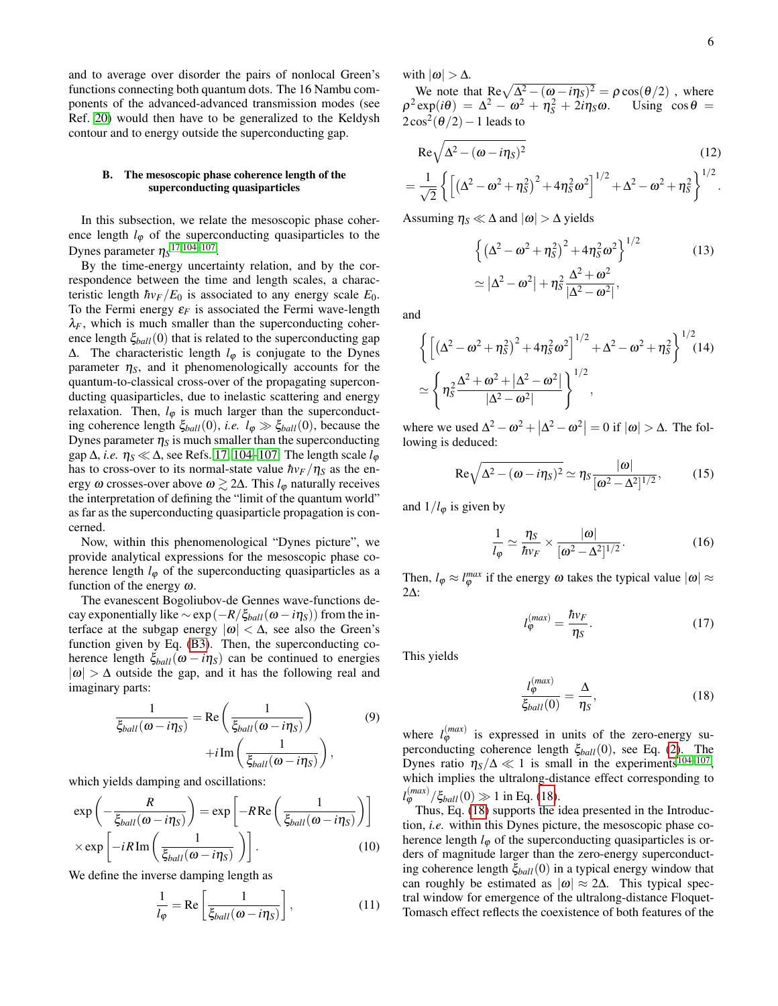and to average over disorder the pairs of nonlocal Green's functions connecting both quantum dots. The 16 Nambu components of the advanced-advanced transmission modes (see Ref. [20\)](#page-18-18) would then have to be generalized to the Keldysh contour and to energy outside the superconducting gap.

# <span id="page-5-2"></span>B. The mesoscopic phase coherence length of the superconducting quasiparticles

In this subsection, we relate the mesoscopic phase coherence length  $l_{\varphi}$  of the superconducting quasiparticles to the Dynes parameter  $\eta_S^{17,104-107}$  $\eta_S^{17,104-107}$  $\eta_S^{17,104-107}$  $\eta_S^{17,104-107}$ .

By the time-energy uncertainty relation, and by the correspondence between the time and length scales, a characteristic length  $\hbar v_F/E_0$  is associated to any energy scale  $E_0$ . To the Fermi energy  $\varepsilon_F$  is associated the Fermi wave-length  $\lambda_F$ , which is much smaller than the superconducting coherence length ξ*ball*(0) that is related to the superconducting gap ∆. The characteristic length *l*<sup>ϕ</sup> is conjugate to the Dynes parameter  $\eta_s$ , and it phenomenologically accounts for the quantum-to-classical cross-over of the propagating superconducting quasiparticles, due to inelastic scattering and energy relaxation. Then,  $l_{\varphi}$  is much larger than the superconducting coherence length  $\xi_{ball}(0)$ , *i.e.*  $l_{\varphi} \gg \xi_{ball}(0)$ , because the Dynes parameter  $\eta_s$  is much smaller than the superconducting gap  $\Delta$ , *i.e.*  $\eta_s \ll \Delta$ , see Refs. [17,](#page-17-6) [104–](#page-20-4)[107.](#page-20-5) The length scale  $l_{\varphi}$ has to cross-over to its normal-state value  $\hbar v_F/\eta_s$  as the energy  $\omega$  crosses-over above  $\omega \gtrsim 2\Delta$ . This  $l_{\varphi}$  naturally receives the interpretation of defining the "limit of the quantum world" as far as the superconducting quasiparticle propagation is concerned.

Now, within this phenomenological "Dynes picture", we provide analytical expressions for the mesoscopic phase coherence length  $l_{\varphi}$  of the superconducting quasiparticles as a function of the energy  $\omega$ .

The evanescent Bogoliubov-de Gennes wave-functions decay exponentially like  $\sim$  exp( $-R/\xi_{ball}(\omega - i\eta_s)$ ) from the interface at the subgap energy  $|\omega| < \Delta$ , see also the Green's function given by Eq. [\(B3\)](#page-16-0). Then, the superconducting coherence length  $\xi_{ball}(\omega - i\eta_s)$  can be continued to energies  $|\omega| > \Delta$  outside the gap, and it has the following real and imaginary parts:

$$
\frac{1}{\xi_{ball}(\omega - i\eta_S)} = \text{Re}\left(\frac{1}{\xi_{ball}(\omega - i\eta_S)}\right) \tag{9}
$$

$$
+i\,\text{Im}\left(\frac{1}{\xi_{ball}(\omega - i\eta_S)}\right),
$$

which yields damping and oscillations:

$$
\exp\left(-\frac{R}{\xi_{ball}(\omega - i\eta_S)}\right) = \exp\left[-R\operatorname{Re}\left(\frac{1}{\xi_{ball}(\omega - i\eta_S)}\right)\right]
$$

$$
\times \exp\left[-iR\operatorname{Im}\left(\frac{1}{\xi_{ball}(\omega - i\eta_S)}\right)\right].
$$
(10)

We define the inverse damping length as

<span id="page-5-0"></span>
$$
\frac{1}{l_{\varphi}} = \text{Re}\left[\frac{1}{\xi_{ball}(\omega - i\eta_{S})}\right],\tag{11}
$$

with  $|\omega| > \Delta$ .

We note that  $\text{Re}\sqrt{\Delta^2 - (\omega - i\eta_s)^2} = \rho \cos(\theta/2)$ , where  $\rho^2 \exp(i\theta) = \Delta^2 - \omega^2 + \eta_S^2$  $Using \cos \theta =$  $2\cos^2(\theta/2)-1$  leads to

$$
\text{Re}\sqrt{\Delta^2 - (\omega - i\eta_S)^2}
$$
 (12)

$$
= \frac{1}{\sqrt{2}} \left\{ \left[ \left( \Delta^2 - \omega^2 + \eta_S^2 \right)^2 + 4 \eta_S^2 \omega^2 \right]^{1/2} + \Delta^2 - \omega^2 + \eta_S^2 \right\}^{1/2}.
$$

Assuming  $\eta_s \ll \Delta$  and  $|\omega| > \Delta$  yields

$$
\left\{ \left( \Delta^2 - \omega^2 + \eta_S^2 \right)^2 + 4\eta_S^2 \omega^2 \right\}^{1/2}
$$
\n
$$
\simeq |\Delta^2 - \omega^2| + \eta_S^2 \frac{\Delta^2 + \omega^2}{|\Delta^2 - \omega^2|},
$$
\n(13)

and

$$
\left\{ \left[ \left( \Delta^2 - \omega^2 + \eta_S^2 \right)^2 + 4 \eta_S^2 \omega^2 \right]^{1/2} + \Delta^2 - \omega^2 + \eta_S^2 \right\}^{1/2} (14)
$$
  

$$
\simeq \left\{ \eta_S^2 \frac{\Delta^2 + \omega^2 + |\Delta^2 - \omega^2|}{|\Delta^2 - \omega^2|} \right\}^{1/2},
$$

where we used  $\Delta^2 - \omega^2 + |\Delta^2 - \omega^2| = 0$  if  $|\omega| > \Delta$ . The following is deduced:

$$
\text{Re}\sqrt{\Delta^2 - (\omega - i\eta_S)^2} \simeq \eta_S \frac{|\omega|}{[\omega^2 - \Delta^2]^{1/2}},\tag{15}
$$

and  $1/l_{\varphi}$  is given by

<span id="page-5-3"></span>
$$
\frac{1}{l_{\varphi}} \simeq \frac{\eta_S}{\hbar v_F} \times \frac{|\omega|}{[\omega^2 - \Delta^2]^{1/2}}.
$$
 (16)

Then,  $l_{\varphi} \approx l_{\varphi}^{max}$  if the energy  $\omega$  takes the typical value  $|\omega| \approx$ 2∆:

<span id="page-5-4"></span>
$$
l_{\varphi}^{(max)} = \frac{\hbar v_F}{\eta_S}.
$$
 (17)

This yields

<span id="page-5-1"></span>
$$
\frac{l_{\varphi}^{(max)}}{\xi_{ball}(0)} = \frac{\Delta}{\eta_S},\tag{18}
$$

where  $l_{\varphi}^{(max)}$  is expressed in units of the zero-energy superconducting coherence length ξ*ball*(0), see Eq. [\(2\)](#page-2-5). The Dynes ratio  $\eta_S/\Delta \ll 1$  is small in the experiments<sup>[104](#page-20-4)[–107](#page-20-5)</sup>, which implies the ultralong-distance effect corresponding to  $l_{\varphi}^{(max)}/\xi_{ball}(0) \gg 1$  in Eq. [\(18\)](#page-5-1).

Thus, Eq. [\(18\)](#page-5-1) supports the idea presented in the Introduction, *i.e.* within this Dynes picture, the mesoscopic phase coherence length  $l_{\varphi}$  of the superconducting quasiparticles is orders of magnitude larger than the zero-energy superconducting coherence length ξ*ball*(0) in a typical energy window that can roughly be estimated as  $|\omega| \approx 2\Delta$ . This typical spectral window for emergence of the ultralong-distance Floquet-Tomasch effect reflects the coexistence of both features of the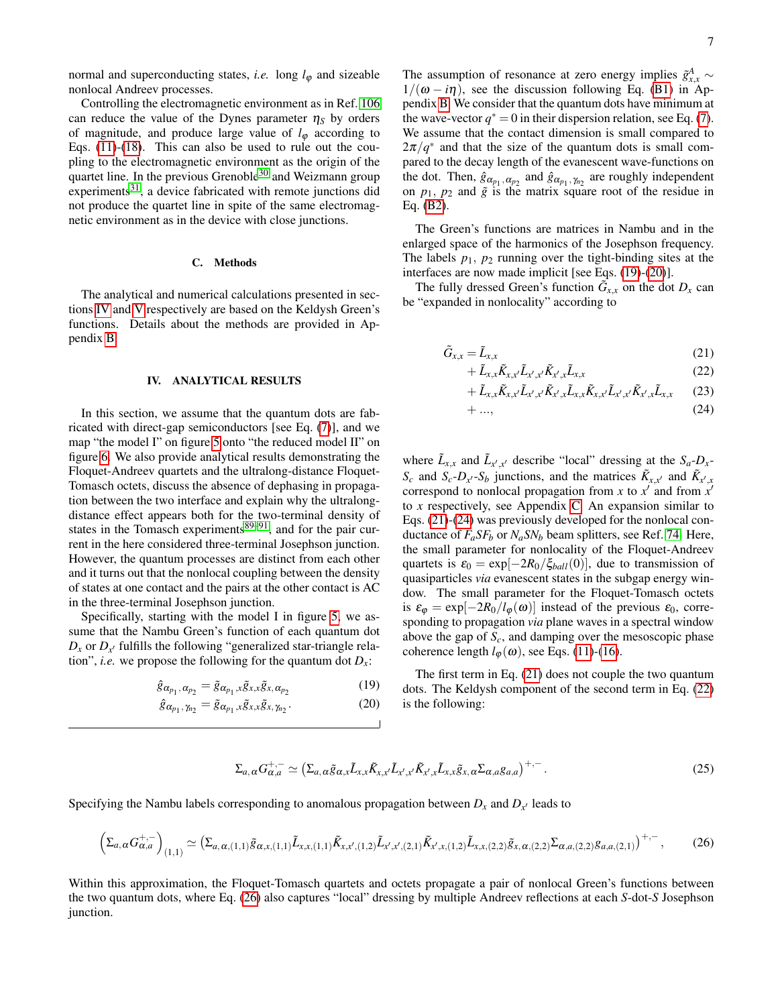normal and superconducting states, *i.e.* long  $l_{\varphi}$  and sizeable nonlocal Andreev processes.

Controlling the electromagnetic environment as in Ref. [106](#page-20-6) can reduce the value of the Dynes parameter  $\eta_S$  by orders of magnitude, and produce large value of  $l_{\varphi}$  according to Eqs. [\(11\)](#page-5-0)-[\(18\)](#page-5-1). This can also be used to rule out the coupling to the electromagnetic environment as the origin of the quartet line. In the previous Grenoble<sup>[30](#page-18-12)</sup> and Weizmann group experiments $31$ , a device fabricated with remote junctions did not produce the quartet line in spite of the same electromagnetic environment as in the device with close junctions.

# <span id="page-6-1"></span>C. Methods

The analytical and numerical calculations presented in sections [IV](#page-6-0) and [V](#page-9-0) respectively are based on the Keldysh Green's functions. Details about the methods are provided in Appendix [B.](#page-15-0)

### <span id="page-6-0"></span>IV. ANALYTICAL RESULTS

In this section, we assume that the quantum dots are fabricated with direct-gap semiconductors [see Eq. [\(7\)](#page-4-1)], and we map "the model I" on figure [5](#page-4-0) onto "the reduced model II" on figure [6.](#page-4-3) We also provide analytical results demonstrating the Floquet-Andreev quartets and the ultralong-distance Floquet-Tomasch octets, discuss the absence of dephasing in propagation between the two interface and explain why the ultralongdistance effect appears both for the two-terminal density of states in the Tomasch experiments $89-91$  $89-91$ , and for the pair current in the here considered three-terminal Josephson junction. However, the quantum processes are distinct from each other and it turns out that the nonlocal coupling between the density of states at one contact and the pairs at the other contact is AC in the three-terminal Josephson junction.

Specifically, starting with the model I in figure [5,](#page-4-0) we assume that the Nambu Green's function of each quantum dot  $D_x$  or  $D_{x'}$  fulfills the following "generalized star-triangle relation", *i.e.* we propose the following for the quantum dot  $D_x$ :

<span id="page-6-2"></span>
$$
\hat{g}_{\alpha_{p_1},\alpha_{p_2}} = \tilde{g}_{\alpha_{p_1},x}\tilde{g}_{x,x}\tilde{g}_{x,\alpha_{p_2}} \tag{19}
$$

$$
\hat{g}_{\alpha_{p_1},\gamma_{n_2}} = \tilde{g}_{\alpha_{p_1},x}\tilde{g}_{x,x}\tilde{g}_{x,\gamma_{n_2}}.
$$
 (20)

The assumption of resonance at zero energy implies  $\tilde{g}^A_{x,x}$  ∼  $1/(\omega - i\eta)$ , see the discussion following Eq. [\(B1\)](#page-15-1) in Appendix [B.](#page-15-0) We consider that the quantum dots have minimum at the wave-vector  $q^* = 0$  in their dispersion relation, see Eq. [\(7\)](#page-4-1). We assume that the contact dimension is small compared to  $2\pi/q^*$  and that the size of the quantum dots is small compared to the decay length of the evanescent wave-functions on the dot. Then,  $\hat{g}_{\alpha_{p_1}, \alpha_{p_2}}$  and  $\hat{g}_{\alpha_{p_1}, \gamma_{n_2}}$  are roughly independent on  $p_1$ ,  $p_2$  and  $\tilde{g}$  is the matrix square root of the residue in Eq. [\(B2\)](#page-16-1).

The Green's functions are matrices in Nambu and in the enlarged space of the harmonics of the Josephson frequency. The labels  $p_1$ ,  $p_2$  running over the tight-binding sites at the interfaces are now made implicit [see Eqs. [\(19\)](#page-6-2)-[\(20\)](#page-6-2)].

The fully dressed Green's function  $\tilde{G}_{x,x}$  on the dot  $D_x$  can be "expanded in nonlocality" according to

<span id="page-6-3"></span>
$$
\tilde{G}_{x,x} = \tilde{L}_{x,x} \tag{21}
$$

$$
+\tilde{L}_{x,x}\tilde{K}_{x,x'}\tilde{L}_{x',x'}\tilde{K}_{x',x}\tilde{L}_{x,x}
$$
\n(22)

$$
+\tilde{L}_{x,x}\tilde{K}_{x,x'}\tilde{L}_{x',x'}\tilde{K}_{x',x}\tilde{L}_{x,x}\tilde{K}_{x,x'}\tilde{L}_{x',x'}\tilde{K}_{x',x}\tilde{L}_{x,x}
$$
 (23)

$$
+\ldots,\t(24)
$$

where  $\tilde{L}_{x,x}$  and  $\tilde{L}_{x',x'}$  describe "local" dressing at the  $S_a - D_x$ *S*<sup>*c*</sup> and *S*<sup>*c*</sup>-*D*<sup>*x*</sup></sub> -*S*<sup>*b*</sup> junctions, and the matrices  $\tilde{K}_{x,x'}$  and  $\tilde{K}_{x',x}$ correspond to nonlocal propagation from *x* to  $x'$  and from  $x'$ to *x* respectively, see Appendix [C.](#page-16-2) An expansion similar to Eqs. [\(21\)](#page-6-3)-[\(24\)](#page-6-3) was previously developed for the nonlocal conductance of  $F_a$ *SF<sub>b</sub>* or  $N_a$ *SN<sub>b</sub>* beam splitters, see Ref. [74.](#page-19-14) Here, the small parameter for nonlocality of the Floquet-Andreev quartets is  $\varepsilon_0 = \exp[-2R_0/\xi_{ball}(0)]$ , due to transmission of quasiparticles *via* evanescent states in the subgap energy window. The small parameter for the Floquet-Tomasch octets is  $\varepsilon_{\varphi} = \exp[-2R_0/l_{\varphi}(\omega)]$  instead of the previous  $\varepsilon_0$ , corresponding to propagation *via* plane waves in a spectral window above the gap of *Sc*, and damping over the mesoscopic phase coherence length  $l_{\phi}(\omega)$ , see Eqs. [\(11\)](#page-5-0)-[\(16\)](#page-5-3).

The first term in Eq. [\(21\)](#page-6-3) does not couple the two quantum dots. The Keldysh component of the second term in Eq. [\(22\)](#page-6-3) is the following:

$$
\Sigma_{a,\alpha} G_{\alpha,a}^{+,-} \simeq \left( \Sigma_{a,\alpha} \tilde{g}_{\alpha,x} \tilde{L}_{x,x} \tilde{K}_{x,x'} \tilde{L}_{x',x'} \tilde{K}_{x',x} \tilde{L}_{x,x} \tilde{g}_{x,\alpha} \Sigma_{\alpha,a} g_{a,a} \right)^{+,-}.
$$
\n(25)

Specifying the Nambu labels corresponding to anomalous propagation between  $D_x$  and  $D_{x'}$  leads to

<span id="page-6-4"></span>
$$
\left(\Sigma_{a,\alpha}G_{\alpha,a}^{+,-}\right)_{(1,1)} \simeq \left(\Sigma_{a,\alpha,(1,1)}\tilde{g}_{\alpha,x,(1,1)}\tilde{L}_{x,x,(1,1)}\tilde{K}_{x,x',(1,2)}\tilde{L}_{x',x',(2,1)}\tilde{K}_{x',x,(1,2)}\tilde{L}_{x,x,(2,2)}\tilde{g}_{x,\alpha,(2,2)}\Sigma_{\alpha,a,(2,2)}g_{a,a,(2,1)}\right)^{+,-},\tag{26}
$$

Within this approximation, the Floquet-Tomasch quartets and octets propagate a pair of nonlocal Green's functions between the two quantum dots, where Eq. [\(26\)](#page-6-4) also captures "local" dressing by multiple Andreev reflections at each *S*-dot-*S* Josephson junction.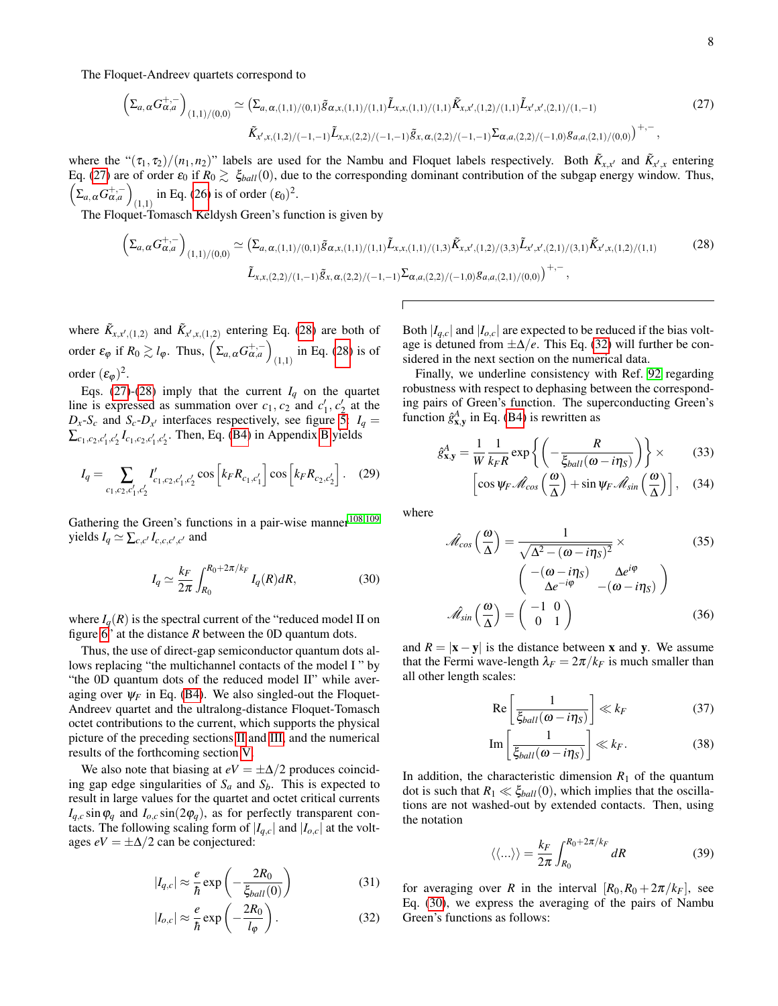The Floquet-Andreev quartets correspond to

<span id="page-7-0"></span>
$$
\left(\Sigma_{a,\alpha}G_{\alpha,a}^{+,-}\right)_{(1,1)/(0,0)} \simeq \left(\Sigma_{a,\alpha,(1,1)/(0,1)}\tilde{g}_{\alpha,x,(1,1)/(1,1)}\tilde{L}_{x,x,(1,1)/(1,1)}\tilde{K}_{x,x',(1,2)/(1,1)}\tilde{L}_{x',x',(2,1)/(1,-1)}\right)
$$
\n
$$
\tilde{K}_{x',x,(1,2)/(-1,-1)}\tilde{L}_{x,x,(2,2)/(-1,-1)}\tilde{g}_{x,\alpha,(2,2)/(-1,-1)}\Sigma_{\alpha,a,(2,2)/(-1,0)}g_{a,a,(2,1)/(0,0)}\right)^{+,-},
$$
\n(27)

where the " $(\tau_1, \tau_2)/(n_1, n_2)$ " labels are used for the Nambu and Floquet labels respectively. Both  $\tilde{K}_{x,x'}$  and  $\tilde{K}_{x',x}$  entering Eq. [\(27\)](#page-7-0) are of order  $\varepsilon_0$  if  $R_0 \gtrsim \xi_{ball}(0)$ , due to the corresponding dominant contribution of the subgap energy window. Thus,  $\left(\Sigma_{a,\,\alpha}G_{\alpha,a}^{+,-}\right)$ (1,1) in Eq. [\(26\)](#page-6-4) is of order  $(\varepsilon_0)^2$ .

The Floquet-Tomasch Keldysh Green's function is given by

<span id="page-7-1"></span>
$$
\left(\Sigma_{a,\alpha}G_{\alpha,a}^{+,-}\right)_{(1,1)/(0,0)} \simeq \left(\Sigma_{a,\alpha,(1,1)/(0,1)}\tilde{g}_{\alpha,x,(1,1)/(1,1)}\tilde{L}_{x,x,(1,1)/(1,3)}\tilde{K}_{x,x',(1,2)/(3,3)}\tilde{L}_{x',x',(2,1)/(3,1)}\tilde{K}_{x',x,(1,2)/(1,1)}\right)
$$
\n
$$
\tilde{L}_{x,x,(2,2)/(1,-1)}\tilde{g}_{x,\alpha,(2,2)/(-1,-1)}\Sigma_{\alpha,a,(2,2)/(-1,0)}g_{a,a,(2,1)/(0,0)}\right)^{+,-},
$$
\n(28)

where  $\tilde{K}_{x,x',(1,2)}$  and  $\tilde{K}_{x',x,(1,2)}$  entering Eq. [\(28\)](#page-7-1) are both of order  $\varepsilon_{\varphi}$  if  $R_0 \gtrsim l_{\varphi}$ . Thus,  $\left( \Sigma_{a,\,\alpha} G^{\mathrm{+,-}}_{\alpha,a} \right)$  $_{(1,1)}$  in Eq. [\(28\)](#page-7-1) is of order  $(\varepsilon_{\varphi})^2$ .

Eqs. [\(27\)](#page-7-0)-[\(28\)](#page-7-1) imply that the current  $I_q$  on the quartet line is expressed as summation over  $c_1$ ,  $c_2$  and  $c'_1$ ,  $c'_2$  at the  $D_x$ -*S*<sup>*c*</sup> and *S*<sup>*c*</sup>-*D*<sub>*x*</sub><sup>*i*</sup> interfaces respectively, see figure [5:](#page-4-0) *I*<sup>*q*</sup> =  $\sum_{c_1, c_2, c'_1, c'_2} I_{c_1, c_2, c'_1, c'_2}$ . Then, Eq. [\(B4\)](#page-16-3) in Appendix [B](#page-15-0) yields

$$
I_q = \sum_{c_1, c_2, c'_1, c'_2} I'_{c_1, c_2, c'_1, c'_2} \cos \left[ k_F R_{c_1, c'_1} \right] \cos \left[ k_F R_{c_2, c'_2} \right]. \quad (29)
$$

Gathering the Green's functions in a pair-wise manner<sup>[108,](#page-20-7)[109](#page-20-8)</sup> yields  $I_q \simeq \sum_{c,c'} I_{c,c,c',c'}$  and

<span id="page-7-3"></span>
$$
I_q \simeq \frac{k_F}{2\pi} \int_{R_0}^{R_0 + 2\pi/k_F} I_q(R) dR,\tag{30}
$$

where  $I_q(R)$  is the spectral current of the "reduced model II on figure [6"](#page-4-3) at the distance *R* between the 0D quantum dots.

Thus, the use of direct-gap semiconductor quantum dots allows replacing "the multichannel contacts of the model I " by "the 0D quantum dots of the reduced model II" while averaging over  $\psi_F$  in Eq. [\(B4\)](#page-16-3). We also singled-out the Floquet-Andreev quartet and the ultralong-distance Floquet-Tomasch octet contributions to the current, which supports the physical picture of the preceding sections [II](#page-1-1) and [III,](#page-3-0) and the numerical results of the forthcoming section [V.](#page-9-0)

We also note that biasing at  $eV = \pm \Delta/2$  produces coinciding gap edge singularities of *S<sup>a</sup>* and *Sb*. This is expected to result in large values for the quartet and octet critical currents  $I_{q,c}$  sin $\varphi_q$  and  $I_{o,c}$  sin(2 $\varphi_q$ ), as for perfectly transparent contacts. The following scaling form of  $|I_{q,c}|$  and  $|I_{o,c}|$  at the voltages  $eV = \pm \Delta/2$  can be conjectured:

<span id="page-7-2"></span>
$$
|I_{q,c}| \approx \frac{e}{\hbar} \exp\left(-\frac{2R_0}{\xi_{ball}(0)}\right) \tag{31}
$$

$$
|I_{o,c}| \approx \frac{e}{\hbar} \exp\left(-\frac{2R_0}{l_{\varphi}}\right). \tag{32}
$$

Both  $|I_{q,c}|$  and  $|I_{o,c}|$  are expected to be reduced if the bias voltage is detuned from  $\pm \Delta/e$ . This Eq. [\(32\)](#page-7-2) will further be considered in the next section on the numerical data.

Finally, we underline consistency with Ref. [92](#page-19-5) regarding robustness with respect to dephasing between the corresponding pairs of Green's function. The superconducting Green's function  $\hat{g}_{\mathbf{x},\mathbf{y}}^A$  in Eq. [\(B4\)](#page-16-3) is rewritten as

$$
\hat{g}_{\mathbf{x},\mathbf{y}}^A = \frac{1}{W} \frac{1}{k_F R} \exp\left\{ \left( -\frac{R}{\xi_{ball}(\omega - i\eta_S)} \right) \right\} \times \tag{33}
$$

$$
\[ \cos \psi_F \hat{\mathscr{M}}_{cos} \left( \frac{\omega}{\Delta} \right) + \sin \psi_F \hat{\mathscr{M}}_{sin} \left( \frac{\omega}{\Delta} \right) \], \quad (34)
$$

where

$$
\hat{\mathcal{M}}_{cos}\left(\frac{\omega}{\Delta}\right) = \frac{1}{\sqrt{\Delta^2 - (\omega - i\eta_S)^2}} \times
$$
(35)  

$$
\begin{pmatrix} -(\omega - i\eta_S) & \Delta e^{i\varphi} \\ \Delta e^{-i\varphi} & -(\omega - i\eta_S) \end{pmatrix}
$$
  

$$
\hat{\mathcal{M}}_{sin}\left(\frac{\omega}{\Delta}\right) = \begin{pmatrix} -1 & 0 \\ 0 & 1 \end{pmatrix}
$$
(36)

and  $R = |x - y|$  is the distance between x and y. We assume that the Fermi wave-length  $\lambda_F = 2\pi/k_F$  is much smaller than all other length scales:

$$
\operatorname{Re}\left[\frac{1}{\xi_{ball}(\omega - i\eta_{S})}\right] \ll k_{F} \tag{37}
$$

$$
\operatorname{Im}\left[\frac{1}{\xi_{ball}(\omega - i\eta_S)}\right] \ll k_F. \tag{38}
$$

In addition, the characteristic dimension  $R_1$  of the quantum dot is such that  $R_1 \ll \xi_{ball}(0)$ , which implies that the oscillations are not washed-out by extended contacts. Then, using the notation

$$
\langle \langle \ldots \rangle \rangle = \frac{k_F}{2\pi} \int_{R_0}^{R_0 + 2\pi/k_F} dR \tag{39}
$$

for averaging over *R* in the interval  $[R_0, R_0 + 2\pi/k_F]$ , see Eq. [\(30\)](#page-7-3), we express the averaging of the pairs of Nambu Green's functions as follows: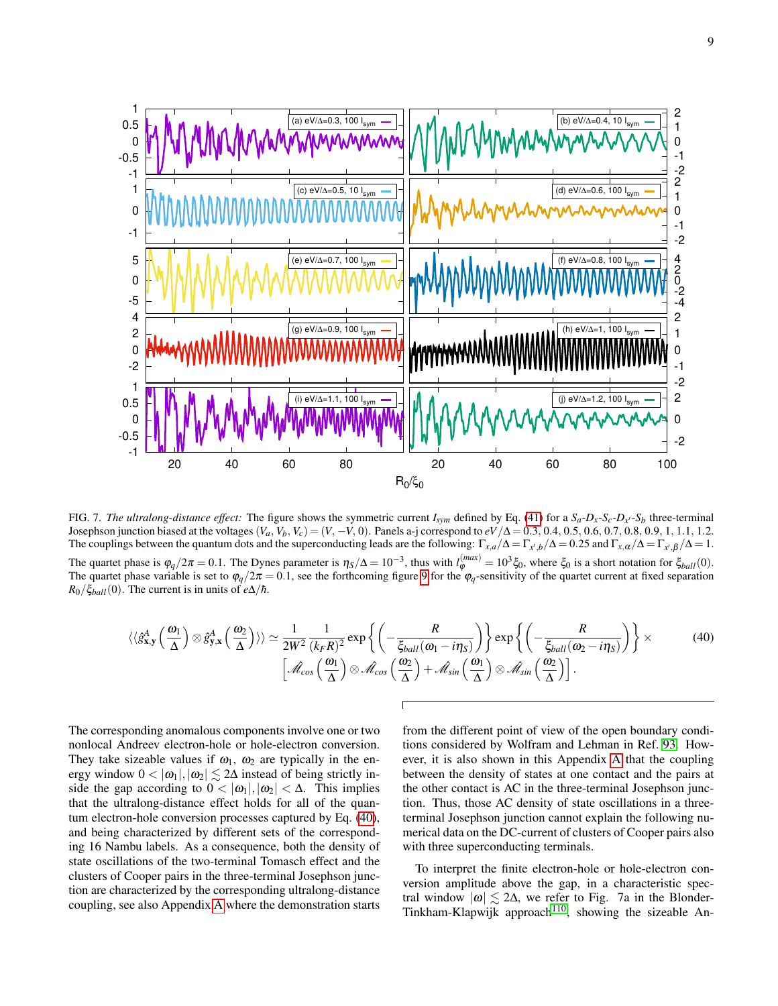

<span id="page-8-1"></span>FIG. 7. The ultralong-distance effect: The figure shows the symmetric current  $I_{sym}$  defined by Eq. [\(41\)](#page-10-0) for a  $S_a - D_x - S_c - D_{x'} - S_b$  three-terminal Josephson junction biased at the voltages  $(V_a, V_b, V_c) = (V, -V, 0)$ . Panels a-j correspond to  $eV/\Delta = 0.3, 0.4, 0.5, 0.6, 0.7, 0.8, 0.9, 1, 1.1, 1.2$ . The couplings between the quantum dots and the superconducting leads are the following:  $\Gamma_{x,a}/\Delta = \Gamma_{x',b}/\Delta = 0.25$  and  $\Gamma_{x,a}/\Delta = \Gamma_{x',b}/\Delta = 1$ . The quartet phase is  $\varphi_q/2\pi = 0.1$ . The Dynes parameter is  $\eta_s/\Delta = 10^{-3}$ , thus with  $l_{\varphi}^{(max)} = 10^3 \xi_0$ , where  $\xi_0$  is a short notation for  $\xi_{ball}(0)$ . The quartet phase variable is set to  $\varphi_q/2\pi = 0.1$ , see the forthcoming figure [9](#page-10-1) for the  $\varphi_q$ -sensitivity of the quartet current at fixed separation  $R_0/\xi_{ball}(0)$ . The current is in units of *e*∆/*h*.

<span id="page-8-0"></span>
$$
\langle \langle \hat{g}_{\mathbf{x},\mathbf{y}}^{A} \left( \frac{\omega_{1}}{\Delta} \right) \otimes \hat{g}_{\mathbf{y},\mathbf{x}}^{A} \left( \frac{\omega_{2}}{\Delta} \right) \rangle \rangle \simeq \frac{1}{2W^{2}} \frac{1}{(k_{F}R)^{2}} \exp \left\{ \left( -\frac{R}{\xi_{ball}(\omega_{1} - i\eta_{S})} \right) \right\} \exp \left\{ \left( -\frac{R}{\xi_{ball}(\omega_{2} - i\eta_{S})} \right) \right\} \times \qquad (40)
$$

$$
\left[ \mathcal{A}_{cos} \left( \frac{\omega_{1}}{\Delta} \right) \otimes \mathcal{A}_{cos} \left( \frac{\omega_{2}}{\Delta} \right) + \mathcal{A}_{sin} \left( \frac{\omega_{1}}{\Delta} \right) \otimes \mathcal{A}_{sin} \left( \frac{\omega_{2}}{\Delta} \right) \right].
$$

The corresponding anomalous components involve one or two nonlocal Andreev electron-hole or hole-electron conversion. They take sizeable values if  $\omega_1$ ,  $\omega_2$  are typically in the energy window  $0 < |\omega_1|, |\omega_2| \lesssim 2\Delta$  instead of being strictly inside the gap according to  $0 < |\omega_1|, |\omega_2| < \Delta$ . This implies that the ultralong-distance effect holds for all of the quantum electron-hole conversion processes captured by Eq. [\(40\)](#page-8-0), and being characterized by different sets of the corresponding 16 Nambu labels. As a consequence, both the density of state oscillations of the two-terminal Tomasch effect and the clusters of Cooper pairs in the three-terminal Josephson junction are characterized by the corresponding ultralong-distance coupling, see also Appendix [A](#page-14-0) where the demonstration starts

from the different point of view of the open boundary conditions considered by Wolfram and Lehman in Ref. [93.](#page-19-6) However, it is also shown in this Appendix [A](#page-14-0) that the coupling between the density of states at one contact and the pairs at the other contact is AC in the three-terminal Josephson junction. Thus, those AC density of state oscillations in a threeterminal Josephson junction cannot explain the following numerical data on the DC-current of clusters of Cooper pairs also with three superconducting terminals.

To interpret the finite electron-hole or hole-electron conversion amplitude above the gap, in a characteristic spectral window  $|\omega| \lesssim 2\Delta$ , we refer to Fig. 7a in the Blonder-Tinkham-Klapwijk approach<sup>[110](#page-20-9)</sup>, showing the sizeable An-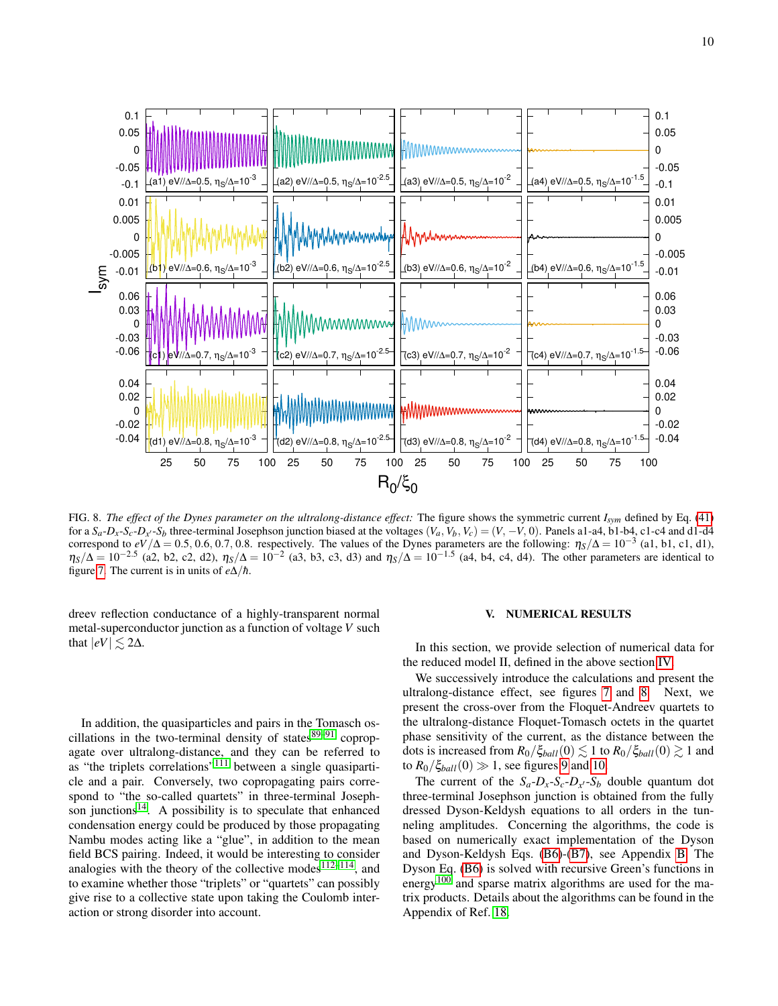

<span id="page-9-1"></span>FIG. 8. *The effect of the Dynes parameter on the ultralong-distance effect:* The figure shows the symmetric current *Isym* defined by Eq. [\(41\)](#page-10-0) for a  $S_a$ - $D_x$ - $S_c$ - $D_{x'}$ - $S_b$  three-terminal Josephson junction biased at the voltages  $(V_a, V_b, V_c) = (V, -V, 0)$ . Panels a1-a4, b1-b4, c1-c4 and d1-d4 correspond to  $eV/\Delta = 0.5, 0.6, 0.7, 0.8$ . respectively. The values of the Dynes parameters are the following:  $\eta_S/\Delta = 10^{-3}$  (a1, b1, c1, d1),  $\eta_S/\Delta = 10^{-2.5}$  (a2, b2, c2, d2),  $\eta_S/\Delta = 10^{-2}$  (a3, b3, c3, d3) and  $\eta_S/\Delta = 10^{-1.5}$  (a4, b4, c4, d4). The other parameters are identical to figure [7.](#page-8-1) The current is in units of  $e\Delta/\hbar$ .

dreev reflection conductance of a highly-transparent normal metal-superconductor junction as a function of voltage *V* such that  $|eV| \lesssim 2\Delta$ .

In addition, the quasiparticles and pairs in the Tomasch oscillations in the two-terminal density of states $89-91$  $89-91$  copropagate over ultralong-distance, and they can be referred to as "the triplets correlations"<sup>[111](#page-20-10)</sup> between a single quasiparticle and a pair. Conversely, two copropagating pairs correspond to "the so-called quartets" in three-terminal Josephson junctions $14$ . A possibility is to speculate that enhanced condensation energy could be produced by those propagating Nambu modes acting like a "glue", in addition to the mean field BCS pairing. Indeed, it would be interesting to consider analogies with the theory of the collective modes<sup>[112–](#page-20-11)[114](#page-20-12)</sup>, and to examine whether those "triplets" or "quartets" can possibly give rise to a collective state upon taking the Coulomb interaction or strong disorder into account.

# <span id="page-9-0"></span>V. NUMERICAL RESULTS

In this section, we provide selection of numerical data for the reduced model II, defined in the above section [IV.](#page-6-0)

We successively introduce the calculations and present the ultralong-distance effect, see figures [7](#page-8-1) and [8.](#page-9-1) Next, we present the cross-over from the Floquet-Andreev quartets to the ultralong-distance Floquet-Tomasch octets in the quartet phase sensitivity of the current, as the distance between the dots is increased from  $R_0/\xi_{ball}(0) \lesssim 1$  to  $R_0/\xi_{ball}(0) \gtrsim 1$  and to  $R_0/\xi_{ball}(0) \gg 1$ , see figures [9](#page-10-1) and [10.](#page-11-0)

The current of the  $S_a - D_x - S_c - D_{x'} - S_b$  double quantum dot three-terminal Josephson junction is obtained from the fully dressed Dyson-Keldysh equations to all orders in the tunneling amplitudes. Concerning the algorithms, the code is based on numerically exact implementation of the Dyson and Dyson-Keldysh Eqs. [\(B6\)](#page-16-4)-[\(B7\)](#page-16-5), see Appendix [B.](#page-15-0) The Dyson Eq. [\(B6\)](#page-16-4) is solved with recursive Green's functions in energy<sup>[100](#page-20-13)</sup> and sparse matrix algorithms are used for the matrix products. Details about the algorithms can be found in the Appendix of Ref. [18.](#page-18-19)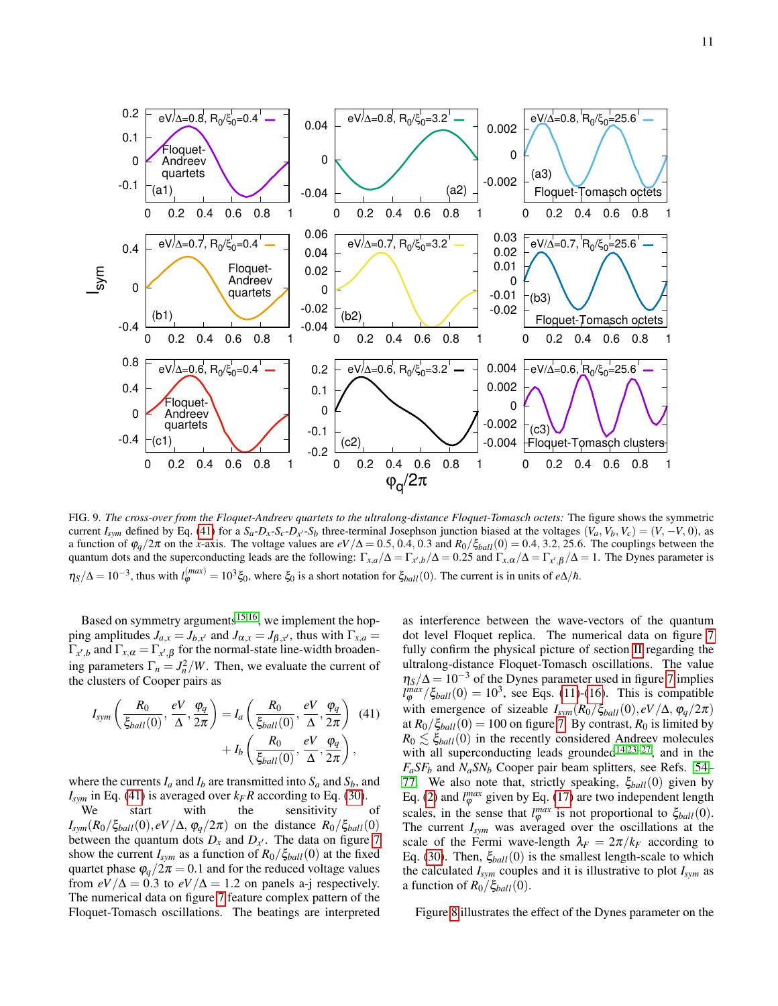

<span id="page-10-1"></span>FIG. 9. *The cross-over from the Floquet-Andreev quartets to the ultralong-distance Floquet-Tomasch octets:* The figure shows the symmetric current  $I_{sym}$  defined by Eq. [\(41\)](#page-10-0) for a  $S_a - D_x - S_c - D_x - S_b$  three-terminal Josephson junction biased at the voltages  $(V_a, V_b, V_c) = (V, -V, 0)$ , as a function of  $\varphi_q/2\pi$  on the *x*-axis. The voltage values are  $eV/\Delta = 0.5, 0.4, 0.3$  and  $R_0/\xi_{ball}(0) = 0.4, 3.2, 25.6$ . The couplings between the quantum dots and the superconducting leads are the following:  $\Gamma_{x,a}/\Delta = \Gamma_{x',b}/\Delta = 0.25$  and  $\Gamma_{x,\alpha}/\Delta = \Gamma_{x',\beta}/\Delta = 1$ . The Dynes parameter is  $\eta_S/\Delta = 10^{-3}$ , thus with  $l_{\varphi}^{(max)} = 10^3 \xi_0$ , where  $\xi_0$  is a short notation for  $\xi_{ball}(0)$ . The current is in units of *e*∆/*h*.

Based on symmetry arguments<sup>[15](#page-17-7)[,16](#page-17-8)</sup>, we implement the hopping amplitudes  $J_{a,x} = J_{b,x'}$  and  $J_{\alpha,x} = J_{\beta,x'}$ , thus with  $\Gamma_{x,a} =$  $\Gamma_{x',b}$  and  $\Gamma_{x,\alpha} = \Gamma_{x',\beta}$  for the normal-state line-width broadening parameters  $\Gamma_n = J_n^2/W$ . Then, we evaluate the current of the clusters of Cooper pairs as

<span id="page-10-0"></span>
$$
I_{sym}\left(\frac{R_0}{\xi_{ball}(0)},\frac{eV}{\Delta},\frac{\varphi_q}{2\pi}\right) = I_a\left(\frac{R_0}{\xi_{ball}(0)},\frac{eV}{\Delta},\frac{\varphi_q}{2\pi}\right) (41) + I_b\left(\frac{R_0}{\xi_{ball}(0)},\frac{eV}{\Delta},\frac{\varphi_q}{2\pi}\right),
$$

where the currents  $I_a$  and  $I_b$  are transmitted into  $S_a$  and  $S_b$ , and  $I_{sym}$  in Eq. [\(41\)](#page-10-0) is averaged over  $k_F R$  according to Eq. [\(30\)](#page-7-3).

We start with the sensitivity of  $I_{sym}(R_0/\xi_{ball}(0), eV/\Delta, \varphi_q/2\pi)$  on the distance  $R_0/\xi_{ball}(0)$ between the quantum dots  $D_x$  and  $D_{x'}$ . The data on figure [7](#page-8-1) show the current  $I_{sym}$  as a function of  $R_0/\xi_{ball}(0)$  at the fixed quartet phase  $\varphi_q/2\pi = 0.1$  and for the reduced voltage values from  $eV/\Delta = 0.3$  to  $eV/\Delta = 1.2$  on panels a-j respectively. The numerical data on figure [7](#page-8-1) feature complex pattern of the Floquet-Tomasch oscillations. The beatings are interpreted as interference between the wave-vectors of the quantum dot level Floquet replica. The numerical data on figure [7](#page-8-1) fully confirm the physical picture of section [II](#page-1-1) regarding the ultralong-distance Floquet-Tomasch oscillations. The value  $\eta_s/\Delta = 10^{-3}$  of the Dynes parameter used in figure [7](#page-8-1) implies  $l_{\varphi}^{max}/\xi_{ball}(0) = 10^3$ , see Eqs. [\(11\)](#page-5-0)-[\(16\)](#page-5-3). This is compatible with emergence of sizeable  $I_{sym}(R_0/\xi_{ball}(0), eV/\Delta, \varphi_q/2\pi)$ at  $R_0/\xi_{ball}(0) = 100$  on figure [7.](#page-8-1) By contrast,  $R_0$  is limited by  $R_0 \lesssim \xi_{ball}(0)$  in the recently considered Andreev molecules with all superconducting leads grounded<sup>[14](#page-17-5)[,23](#page-18-9)[–27](#page-18-10)</sup>, and in the *FaSF<sup>b</sup>* and *NaSN<sup>b</sup>* Cooper pair beam splitters, see Refs. [54–](#page-18-8) [77.](#page-19-0) We also note that, strictly speaking, ξ*ball*(0) given by Eq. [\(2\)](#page-2-5) and  $l_{\varphi}^{max}$  given by Eq. [\(17\)](#page-5-4) are two independent length scales, in the sense that  $l_{\varphi}^{max}$  is not proportional to  $\xi_{ball}(0)$ . The current *Isym* was averaged over the oscillations at the scale of the Fermi wave-length  $\lambda_F = 2\pi/k_F$  according to Eq. [\(30\)](#page-7-3). Then,  $\xi_{ball}(0)$  is the smallest length-scale to which the calculated  $I_{sym}$  couples and it is illustrative to plot  $I_{sym}$  as a function of  $R_0/\xi_{ball}(0)$ .

Figure [8](#page-9-1) illustrates the effect of the Dynes parameter on the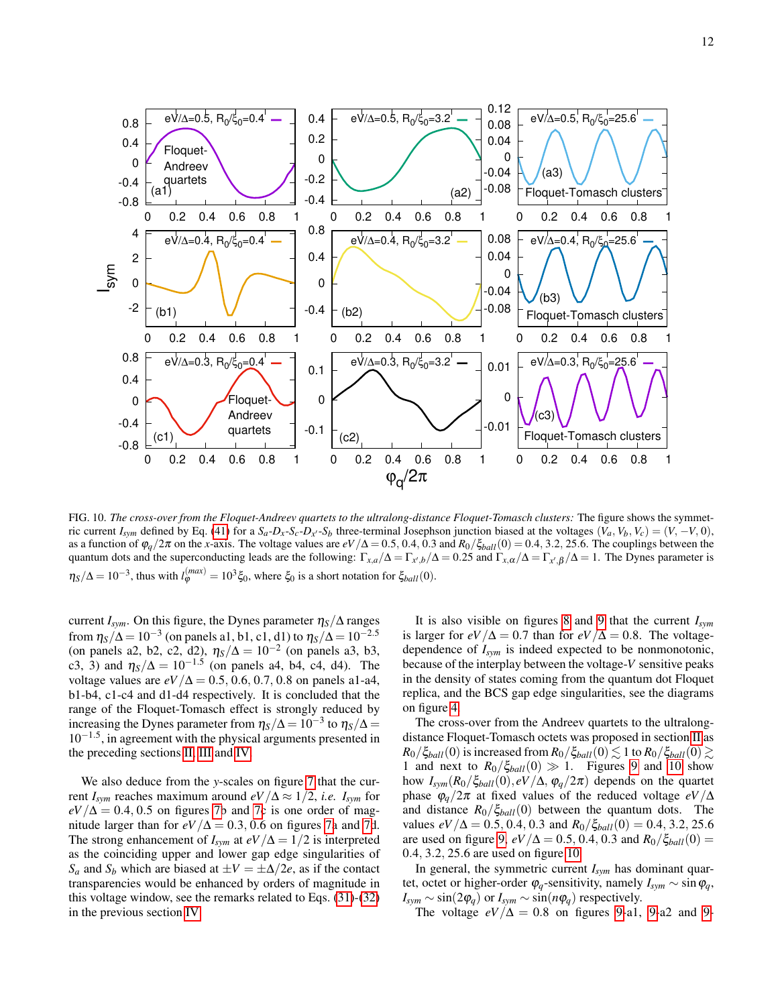

<span id="page-11-0"></span>FIG. 10. *The cross-over from the Floquet-Andreev quartets to the ultralong-distance Floquet-Tomasch clusters:* The figure shows the symmetric current  $I_{sym}$  defined by Eq. [\(41\)](#page-10-0) for a  $S_a - D_x - S_c - D_x - S_b$  three-terminal Josephson junction biased at the voltages  $(V_a, V_b, V_c) = (V, -V, 0)$ , as a function of  $\varphi_q/2\pi$  on the *x*-axis. The voltage values are  $eV/\Delta = 0.5, 0.4, 0.3$  and  $R_0/\xi_{ball}(0) = 0.4, 3.2, 25.6$ . The couplings between the quantum dots and the superconducting leads are the following:  $\Gamma_{x,a}/\Delta = \Gamma_{x',b}/\Delta = 0.25$  and  $\Gamma_{x,\alpha}/\Delta = \Gamma_{x',\beta}/\Delta = 1$ . The Dynes parameter is  $\eta_S/\Delta = 10^{-3}$ , thus with  $l_{\varphi}^{(max)} = 10^3 \xi_0$ , where  $\xi_0$  is a short notation for  $\xi_{ball}(0)$ .

current  $I_{sym}$ . On this figure, the Dynes parameter  $\eta_S/\Delta$  ranges from  $\eta_S/\Delta$  =  $10^{-3}$  (on panels a1, b1, c1, d1) to  $\eta_S/\Delta$  =  $10^{-2.5}$ (on panels a2, b2, c2, d2),  $\eta_s/\Delta = 10^{-2}$  (on panels a3, b3, c3, 3) and  $\eta_s/\Delta = 10^{-1.5}$  (on panels a4, b4, c4, d4). The voltage values are  $eV/\Delta = 0.5, 0.6, 0.7, 0.8$  on panels a1-a4, b1-b4, c1-c4 and d1-d4 respectively. It is concluded that the range of the Floquet-Tomasch effect is strongly reduced by increasing the Dynes parameter from  $\eta_S/\Delta = 10^{-3}$  to  $\eta_S/\Delta =$ 10−1.<sup>5</sup> , in agreement with the physical arguments presented in the preceding sections [II,](#page-1-1) [III](#page-3-0) and [IV.](#page-6-0)

We also deduce from the *y*-scales on figure [7](#page-8-1) that the current  $I_{sym}$  reaches maximum around  $eV/\Delta \approx 1/2$ , *i.e.*  $I_{sym}$  for  $eV/\Delta = 0.4, 0.5$  on figures [7b](#page-8-1) and [7c](#page-8-1) is one order of magnitude larger than for  $eV/\Delta = 0.3, 0.6$  on figures [7a](#page-8-1) and [7d](#page-8-1). The strong enhancement of  $I_{sym}$  at  $eV/\Delta = 1/2$  is interpreted as the coinciding upper and lower gap edge singularities of *S<sub>a</sub>* and *S<sub>b</sub>* which are biased at  $\pm V = \pm \Delta/2e$ , as if the contact transparencies would be enhanced by orders of magnitude in this voltage window, see the remarks related to Eqs. [\(31\)](#page-7-2)-[\(32\)](#page-7-2) in the previous section [IV.](#page-6-0)

It is also visible on figures [8](#page-9-1) and [9](#page-10-1) that the current *Isym* is larger for  $eV/\Delta = 0.7$  than for  $eV/\Delta = 0.8$ . The voltagedependence of *Isym* is indeed expected to be nonmonotonic, because of the interplay between the voltage-*V* sensitive peaks in the density of states coming from the quantum dot Floquet replica, and the BCS gap edge singularities, see the diagrams on figure [4.](#page-2-0)

The cross-over from the Andreev quartets to the ultralongdistance Floquet-Tomasch octets was proposed in section [II](#page-1-1) as  $R_0/\xi_{ball}(0)$  is increased from  $R_0/\xi_{ball}(0) \lesssim 1$  to  $R_0/\xi_{ball}(0) \gtrsim$ 1 and next to  $R_0/\xi_{ball}(0) \gg 1$ . Figures [9](#page-10-1) and [10](#page-11-0) show how  $I_{sym}(R_0/\xi_{ball}(0), eV/\Delta, \varphi_q/2\pi)$  depends on the quartet phase  $\varphi_q/2\pi$  at fixed values of the reduced voltage *eV*/ $\Delta$ and distance *R*0/ξ*ball*(0) between the quantum dots. The values  $eV/\Delta = 0.5, 0.4, 0.3$  and  $R_0/\xi_{ball}(0) = 0.4, 3.2, 25.6$ are used on figure [9,](#page-10-1)  $eV/\Delta = 0.5, 0.4, 0.3$  and  $R_0/\xi_{ball}(0) =$ 0.4, 3.2, 25.6 are used on figure [10.](#page-11-0)

In general, the symmetric current *Isym* has dominant quartet, octet or higher-order  $\varphi_q$ -sensitivity, namely  $I_{sym} \sim \sin \varphi_q$ ,  $I_{sym} \sim \sin(2\varphi_q)$  or  $I_{sym} \sim \sin(n\varphi_q)$  respectively.

The voltage  $eV/\Delta = 0.8$  on figures [9-](#page-10-1)a1, 9-a2 and 9-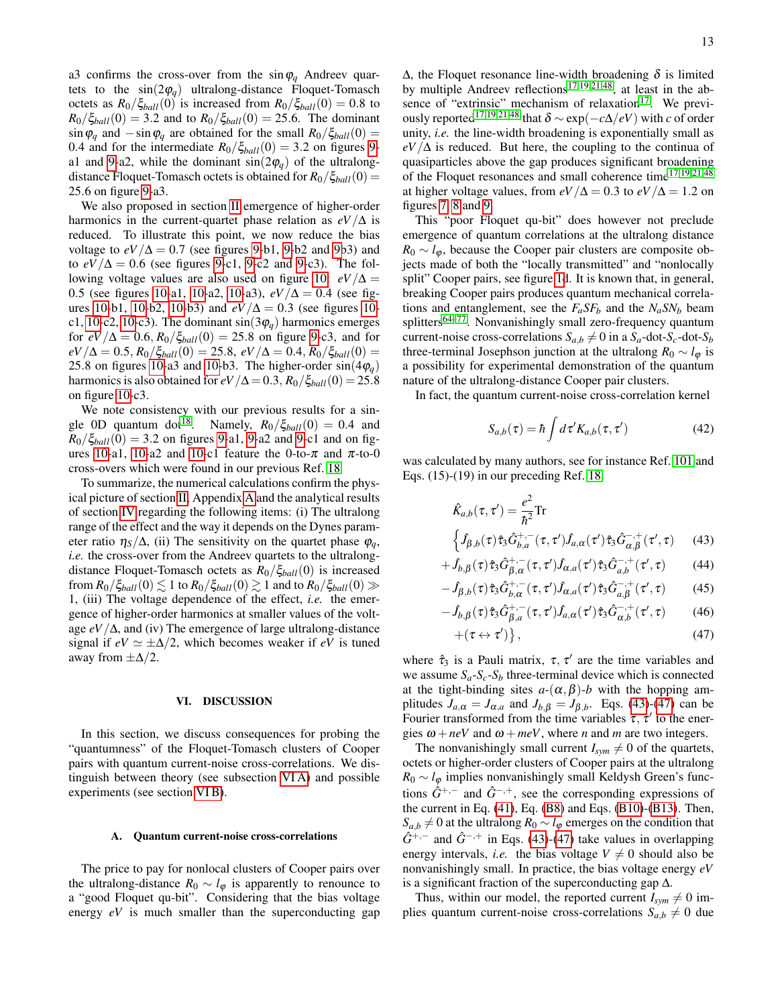a3 confirms the cross-over from the  $\sin \varphi_q$  Andreev quartets to the  $sin(2\varphi_a)$  ultralong-distance Floquet-Tomasch octets as  $R_0/\xi_{ball}(0)$  is increased from  $R_0/\xi_{ball}(0) = 0.8$  to  $R_0/\xi_{ball}(0) = 3.2$  and to  $R_0/\xi_{ball}(0) = 25.6$ . The dominant  $\sin \varphi_a$  and  $-\sin \varphi_a$  are obtained for the small  $R_0/\xi_{ball}(0)$  = 0.4 and for the intermediate  $R_0/\xi_{ball}(0) = 3.2$  on figures [9-](#page-10-1) a1 and [9-](#page-10-1)a2, while the dominant  $sin(2\varphi_a)$  of the ultralongdistance Floquet-Tomasch octets is obtained for  $R_0/\zeta_{ball}(0) =$ 25.6 on figure [9-](#page-10-1)a3.

We also proposed in section [II](#page-1-1) emergence of higher-order harmonics in the current-quartet phase relation as  $eV/\Delta$  is reduced. To illustrate this point, we now reduce the bias voltage to  $eV/\Delta = 0.7$  (see figures [9-](#page-10-1)b1, 9-b2 and [9b](#page-10-1)3) and to  $eV/\Delta = 0.6$  (see figures [9-](#page-10-1)c1, 9-c2 and 9-c3). The fol-lowing voltage values are also used on figure [10:](#page-11-0)  $eV/\Delta$  = 0.5 (see figures [10-](#page-11-0)a1, [10-](#page-11-0)a2, [10-](#page-11-0)a3), *eV*/∆ = 0.4 (see fig-ures [10-](#page-11-0)b1, 10-b2, 10-b3) and  $eV/\Delta = 0.3$  (see figures 10-c1, [10-](#page-11-0)c2, 10-c3). The dominant  $sin(3\varphi_q)$  harmonics emerges for  $eV/\Delta = 0.6$ ,  $R_0/\xi_{ball}(0) = 25.8$  on figure [9-](#page-10-1)c3, and for  $eV/\Delta = 0.5$ ,  $R_0/\xi_{ball}(0) = 25.8$ ,  $eV/\Delta = 0.4$ ,  $R_0/\xi_{ball}(0) =$ 25.8 on figures [10-](#page-11-0)a3 and 10-b3. The higher-order  $sin(4\varphi_q)$ harmonics is also obtained for  $eV/\Delta = 0.3$ ,  $R_0/\xi_{ball}(0) = 25.8$ on figure [10-](#page-11-0)c3.

We note consistency with our previous results for a sin-gle 0D quantum dot<sup>[18](#page-18-19)</sup>. Namely,  $R_0/\xi_{ball}(0) = 0.4$  and  $R_0/\xi_{ball}(0) = 3.2$  on figures [9-](#page-10-1)a1, 9-a2 and 9-c1 and on fig-ures [10-](#page-11-0)a1, 10-a2 and 10-c1 feature the 0-to- $\pi$  and  $\pi$ -to-0 cross-overs which were found in our previous Ref. [18](#page-18-19)

To summarize, the numerical calculations confirm the physical picture of section [II,](#page-1-1) Appendix [A](#page-14-0) and the analytical results of section [IV](#page-6-0) regarding the following items: (i) The ultralong range of the effect and the way it depends on the Dynes parameter ratio  $\eta_s/\Delta$ , (ii) The sensitivity on the quartet phase  $\varphi_a$ , *i.e.* the cross-over from the Andreev quartets to the ultralongdistance Floquet-Tomasch octets as *R*0/ξ*ball*(0) is increased from  $R_0/\xi_{ball}(0) \lesssim 1$  to  $R_0/\xi_{ball}(0) \gtrsim 1$  and to  $R_0/\xi_{ball}(0) \gg$ 1, (iii) The voltage dependence of the effect, *i.e.* the emergence of higher-order harmonics at smaller values of the voltage  $eV/\Delta$ , and (iv) The emergence of large ultralong-distance signal if  $eV \simeq \pm \Delta/2$ , which becomes weaker if  $eV$  is tuned away from  $\pm \Delta/2$ .

### <span id="page-12-0"></span>VI. DISCUSSION

In this section, we discuss consequences for probing the "quantumness" of the Floquet-Tomasch clusters of Cooper pairs with quantum current-noise cross-correlations. We distinguish between theory (see subsection [VI A\)](#page-12-1) and possible experiments (see section [VI B\)](#page-13-1).

### <span id="page-12-1"></span>A. Quantum current-noise cross-correlations

The price to pay for nonlocal clusters of Cooper pairs over the ultralong-distance  $R_0 \sim l_{\varphi}$  is apparently to renounce to a "good Floquet qu-bit". Considering that the bias voltage energy *eV* is much smaller than the superconducting gap

 $Δ$ , the Floquet resonance line-width broadening  $δ$  is limited by multiple Andreev reflections<sup>[17](#page-17-6)[,19,](#page-18-17)[21,](#page-18-15)[48](#page-18-2)</sup>, at least in the absence of "extrinsic" mechanism of relaxation $17$ . We previ-ously reported<sup>[17](#page-17-6)[,19](#page-18-17)[,21,](#page-18-15)[48](#page-18-2)</sup> that  $\delta \sim \exp(-c\Delta/eV)$  with *c* of order unity, *i.e.* the line-width broadening is exponentially small as  $eV/\Delta$  is reduced. But here, the coupling to the continua of quasiparticles above the gap produces significant broadening of the Floquet resonances and small coherence time<sup>[17,](#page-17-6)[19](#page-18-17)[,21](#page-18-15)[,48](#page-18-2)</sup> at higher voltage values, from  $eV/\Delta = 0.3$  to  $eV/\Delta = 1.2$  on figures [7,](#page-8-1) [8](#page-9-1) and [9.](#page-10-1)

This "poor Floquet qu-bit" does however not preclude emergence of quantum correlations at the ultralong distance  $R_0 \sim l_{\varphi}$ , because the Cooper pair clusters are composite objects made of both the "locally transmitted" and "nonlocally split" Cooper pairs, see figure [1d](#page-1-0). It is known that, in general, breaking Cooper pairs produces quantum mechanical correlations and entanglement, see the  $F_a S F_b$  and the  $N_a S N_b$  beam splitters[64–](#page-19-15)[77](#page-19-0). Nonvanishingly small zero-frequency quantum current-noise cross-correlations  $S_{a,b} \neq 0$  in a  $S_a$ -dot- $S_c$ -dot- $S_b$ three-terminal Josephson junction at the ultralong  $R_0 \sim l_{\omega}$  is a possibility for experimental demonstration of the quantum nature of the ultralong-distance Cooper pair clusters.

In fact, the quantum current-noise cross-correlation kernel

$$
S_{a,b}(\tau) = \hbar \int d\tau' K_{a,b}(\tau, \tau') \tag{42}
$$

was calculated by many authors, see for instance Ref. [101](#page-20-1) and Eqs. (15)-(19) in our preceding Ref. [18:](#page-18-19)

<span id="page-12-2"></span>
$$
\hat{K}_{a,b}(\tau,\tau') = \frac{e^2}{\hbar^2} \text{Tr}
$$
\n
$$
\begin{cases}\n\hat{f}_{\beta,b}(\tau)\hat{\tau}_3 \hat{G}_{b,a}^{+,-}(\tau,\tau') \hat{f}_{a,\alpha}(\tau') \hat{\tau}_3 \hat{G}_{\alpha,\beta}^{-,+}(\tau',\tau)\n\end{cases}
$$
\n(43)

$$
+\hat{J}_{b,\beta}(\tau)\hat{\tau}_3\hat{G}^{+,-}_{\beta,\alpha}(\tau,\tau')\hat{J}_{\alpha,a}(\tau')\hat{\tau}_3\hat{G}^{-,+}_{a,b}(\tau',\tau)
$$
(44)

$$
-\hat{J}_{\beta,b}(\tau)\hat{\tau}_3\hat{G}_{b,\alpha}^{+,-}(\tau,\tau')\hat{J}_{\alpha,a}(\tau')\hat{\tau}_3\hat{G}_{a,\beta}^{-,+}(\tau',\tau) \qquad (45)
$$

$$
- \hat{J}_{b,\beta}(\tau) \hat{\tau}_3 \hat{G}^{+,-}_{\beta,a}(\tau,\tau') \hat{J}_{a,\alpha}(\tau') \hat{\tau}_3 \hat{G}^{-,+}_{\alpha,b}(\tau',\tau) \tag{46}
$$

$$
+(\tau \leftrightarrow \tau')\},\tag{47}
$$

where  $\hat{\tau}_3$  is a Pauli matrix,  $\tau$ ,  $\tau'$  are the time variables and we assume  $S_a - S_c - S_b$  three-terminal device which is connected at the tight-binding sites  $a-(\alpha, \beta)$ -*b* with the hopping amplitudes  $J_{a,\alpha} = J_{\alpha,a}$  and  $J_{b,\beta} = J_{\beta,b}$ . Eqs. [\(43\)](#page-12-2)-[\(47\)](#page-12-2) can be Fourier transformed from the time variables  $\tau$ ,  $\tau'$  to the energies  $\omega + neV$  and  $\omega + meV$ , where *n* and *m* are two integers.

The nonvanishingly small current  $I_{sym} \neq 0$  of the quartets, octets or higher-order clusters of Cooper pairs at the ultralong  $R_0 \sim l_\varphi$  implies nonvanishingly small Keldysh Green's functions  $\hat{G}^{+,-}$  and  $\hat{G}^{-,+}$ , see the corresponding expressions of the current in Eq. [\(41\)](#page-10-0), Eq. [\(B8\)](#page-16-6) and Eqs. [\(B10\)](#page-16-7)-[\(B13\)](#page-16-7). Then,  $S_{a,b} \neq 0$  at the ultralong  $R_0 \sim l_{\varphi}$  emerges on the condition that  $\hat{G}^{+,-}$  and  $\hat{G}^{-,+}$  in Eqs. [\(43\)](#page-12-2)-[\(47\)](#page-12-2) take values in overlapping energy intervals, *i.e.* the bias voltage  $V \neq 0$  should also be nonvanishingly small. In practice, the bias voltage energy *eV* is a significant fraction of the superconducting gap  $\Delta$ .

Thus, within our model, the reported current  $I_{sym} \neq 0$  implies quantum current-noise cross-correlations  $S_{a,b} \neq 0$  due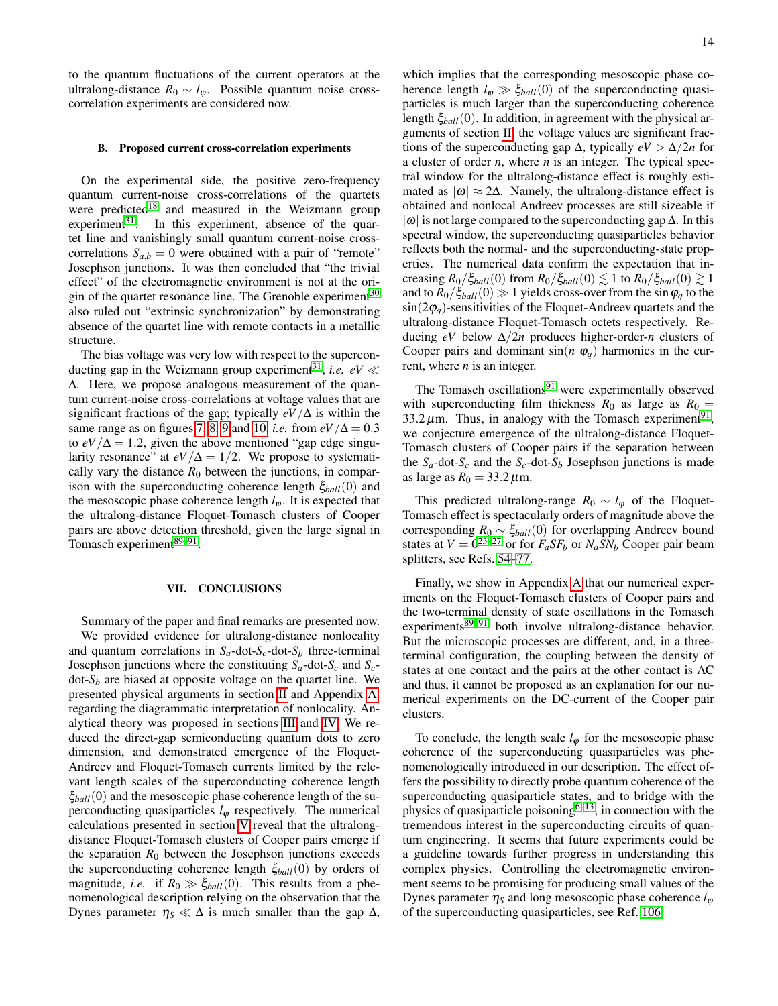to the quantum fluctuations of the current operators at the ultralong-distance  $R_0 \sim l_{\varphi}$ . Possible quantum noise crosscorrelation experiments are considered now.

### <span id="page-13-1"></span>B. Proposed current cross-correlation experiments

On the experimental side, the positive zero-frequency quantum current-noise cross-correlations of the quartets were predicted<sup>[18](#page-18-19)</sup> and measured in the Weizmann group experiment $31$ . In this experiment, absence of the quartet line and vanishingly small quantum current-noise crosscorrelations  $S_{a,b} = 0$  were obtained with a pair of "remote" Josephson junctions. It was then concluded that "the trivial effect" of the electromagnetic environment is not at the origin of the quartet resonance line. The Grenoble experiment $30$ also ruled out "extrinsic synchronization" by demonstrating absence of the quartet line with remote contacts in a metallic structure.

The bias voltage was very low with respect to the supercon-ducting gap in the Weizmann group experiment<sup>[31](#page-18-13)</sup>, *i.e.*  $eV \ll$ ∆. Here, we propose analogous measurement of the quantum current-noise cross-correlations at voltage values that are significant fractions of the gap; typically  $eV/\Delta$  is within the same range as on figures [7,](#page-8-1) [8,](#page-9-1) [9](#page-10-1) and [10,](#page-11-0) *i.e.* from  $eV/\Delta = 0.3$ to  $eV/\Delta = 1.2$ , given the above mentioned "gap edge singularity resonance" at  $eV/\Delta = 1/2$ . We propose to systematically vary the distance  $R_0$  between the junctions, in comparison with the superconducting coherence length ξ*ball*(0) and the mesoscopic phase coherence length  $l_{\varphi}$ . It is expected that the ultralong-distance Floquet-Tomasch clusters of Cooper pairs are above detection threshold, given the large signal in Tomasch experiment<sup>[89](#page-19-3)-91</sup>.

## <span id="page-13-0"></span>VII. CONCLUSIONS

Summary of the paper and final remarks are presented now. We provided evidence for ultralong-distance nonlocality and quantum correlations in  $S_a$ -dot- $S_c$ -dot- $S_b$  three-terminal Josephson junctions where the constituting  $S_a$ -dot- $S_c$  and  $S_c$ dot-*S<sup>b</sup>* are biased at opposite voltage on the quartet line. We presented physical arguments in section [II](#page-1-1) and Appendix [A,](#page-14-0) regarding the diagrammatic interpretation of nonlocality. Analytical theory was proposed in sections [III](#page-3-0) and [IV.](#page-6-0) We reduced the direct-gap semiconducting quantum dots to zero dimension, and demonstrated emergence of the Floquet-Andreev and Floquet-Tomasch currents limited by the relevant length scales of the superconducting coherence length ξ*ball*(0) and the mesoscopic phase coherence length of the superconducting quasiparticles  $l_{\varphi}$  respectively. The numerical calculations presented in section [V](#page-9-0) reveal that the ultralongdistance Floquet-Tomasch clusters of Cooper pairs emerge if the separation  $R_0$  between the Josephson junctions exceeds the superconducting coherence length ξ*ball*(0) by orders of magnitude, *i.e.* if  $R_0 \gg \xi_{ball}(0)$ . This results from a phenomenological description relying on the observation that the Dynes parameter  $\eta_S \ll \Delta$  is much smaller than the gap  $\Delta$ ,

which implies that the corresponding mesoscopic phase coherence length  $l_{\phi} \gg \xi_{ball}(0)$  of the superconducting quasiparticles is much larger than the superconducting coherence length ξ*ball*(0). In addition, in agreement with the physical arguments of section [II,](#page-1-1) the voltage values are significant fractions of the superconducting gap  $\Delta$ , typically  $eV > \Delta/2n$  for a cluster of order *n*, where *n* is an integer. The typical spectral window for the ultralong-distance effect is roughly estimated as  $|\omega| \approx 2\Delta$ . Namely, the ultralong-distance effect is obtained and nonlocal Andreev processes are still sizeable if  $|\omega|$  is not large compared to the superconducting gap  $\Delta$ . In this spectral window, the superconducting quasiparticles behavior reflects both the normal- and the superconducting-state properties. The numerical data confirm the expectation that increasing  $R_0/\xi_{ball}(0)$  from  $R_0/\xi_{ball}(0) \lesssim 1$  to  $R_0/\xi_{ball}(0) \gtrsim 1$ and to  $R_0/\xi_{ball}(0) \gg 1$  yields cross-over from the sin  $\varphi_q$  to the  $\sin(2\varphi_q)$ -sensitivities of the Floquet-Andreev quartets and the ultralong-distance Floquet-Tomasch octets respectively. Reducing *eV* below ∆/2*n* produces higher-order-*n* clusters of Cooper pairs and dominant  $sin(n \varphi_a)$  harmonics in the current, where *n* is an integer.

The Tomasch oscillations $91$  were experimentally observed with superconducting film thickness  $R_0$  as large as  $R_0 =$ 33.2  $\mu$ m. Thus, in analogy with the Tomasch experiment<sup>[91](#page-19-4)</sup>, we conjecture emergence of the ultralong-distance Floquet-Tomasch clusters of Cooper pairs if the separation between the  $S_a$ -dot- $S_c$  and the  $S_c$ -dot- $S_b$  Josephson junctions is made as large as  $R_0 = 33.2 \,\mu \text{m}$ .

This predicted ultralong-range  $R_0 \sim l_{\varphi}$  of the Floquet-Tomasch effect is spectacularly orders of magnitude above the corresponding *R*<sup>0</sup> ∼ ξ*ball*(0) for overlapping Andreev bound states at  $V = 0^{23-27}$  $V = 0^{23-27}$  $V = 0^{23-27}$  or for  $F_a S F_b$  or  $N_a S N_b$  Cooper pair beam splitters, see Refs. [54–](#page-18-8)[77.](#page-19-0)

Finally, we show in Appendix [A](#page-14-0) that our numerical experiments on the Floquet-Tomasch clusters of Cooper pairs and the two-terminal density of state oscillations in the Tomasch experiments<sup>[89–](#page-19-3)[91](#page-19-4)</sup> both involve ultralong-distance behavior. But the microscopic processes are different, and, in a threeterminal configuration, the coupling between the density of states at one contact and the pairs at the other contact is AC and thus, it cannot be proposed as an explanation for our numerical experiments on the DC-current of the Cooper pair clusters.

To conclude, the length scale  $l_{\varphi}$  for the mesoscopic phase coherence of the superconducting quasiparticles was phenomenologically introduced in our description. The effect offers the possibility to directly probe quantum coherence of the superconducting quasiparticle states, and to bridge with the physics of quasiparticle poisoning $6-13$  $6-13$ , in connection with the tremendous interest in the superconducting circuits of quantum engineering. It seems that future experiments could be a guideline towards further progress in understanding this complex physics. Controlling the electromagnetic environment seems to be promising for producing small values of the Dynes parameter  $\eta_s$  and long mesoscopic phase coherence  $l_{\omega}$ of the superconducting quasiparticles, see Ref. [106.](#page-20-6)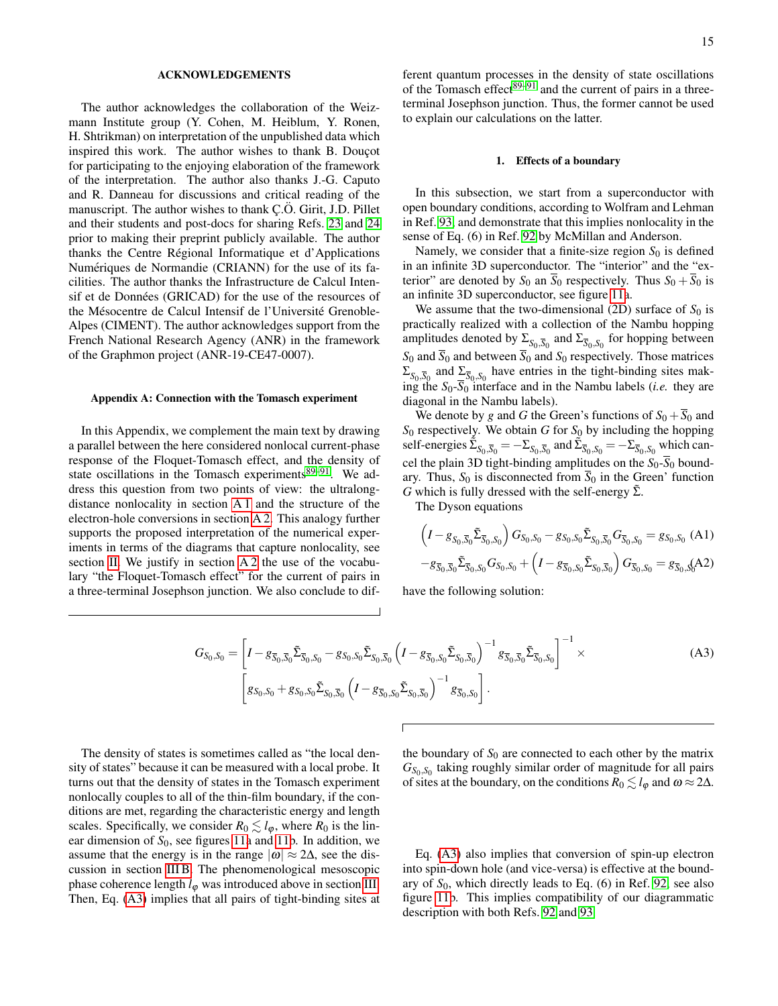#### ACKNOWLEDGEMENTS

The author acknowledges the collaboration of the Weizmann Institute group (Y. Cohen, M. Heiblum, Y. Ronen, H. Shtrikman) on interpretation of the unpublished data which inspired this work. The author wishes to thank B. Doucot for participating to the enjoying elaboration of the framework of the interpretation. The author also thanks J.-G. Caputo and R. Danneau for discussions and critical reading of the manuscript. The author wishes to thank C.O. Girit, J.D. Pillet and their students and post-docs for sharing Refs. [23](#page-18-9) and [24](#page-18-11) prior to making their preprint publicly available. The author thanks the Centre Regional Informatique et d'Applications ´ Numériques de Normandie (CRIANN) for the use of its facilities. The author thanks the Infrastructure de Calcul Intensif et de Données (GRICAD) for the use of the resources of the Mésocentre de Calcul Intensif de l'Université Grenoble-Alpes (CIMENT). The author acknowledges support from the French National Research Agency (ANR) in the framework of the Graphmon project (ANR-19-CE47-0007).

### <span id="page-14-0"></span>Appendix A: Connection with the Tomasch experiment

In this Appendix, we complement the main text by drawing a parallel between the here considered nonlocal current-phase response of the Floquet-Tomasch effect, and the density of state oscillations in the Tomasch experiments<sup>[89](#page-19-3)-91</sup>. We address this question from two points of view: the ultralongdistance nonlocality in section [A 1](#page-14-1) and the structure of the electron-hole conversions in section [A 2.](#page-15-2) This analogy further supports the proposed interpretation of the numerical experiments in terms of the diagrams that capture nonlocality, see section [II.](#page-1-1) We justify in section [A 2](#page-15-2) the use of the vocabulary "the Floquet-Tomasch effect" for the current of pairs in a three-terminal Josephson junction. We also conclude to dif-

ferent quantum processes in the density of state oscillations of the Tomasch effect $89-91$  $89-91$  and the current of pairs in a threeterminal Josephson junction. Thus, the former cannot be used to explain our calculations on the latter.

## <span id="page-14-1"></span>1. Effects of a boundary

In this subsection, we start from a superconductor with open boundary conditions, according to Wolfram and Lehman in Ref. [93,](#page-19-6) and demonstrate that this implies nonlocality in the sense of Eq. (6) in Ref. [92](#page-19-5) by McMillan and Anderson.

Namely, we consider that a finite-size region  $S_0$  is defined in an infinite 3D superconductor. The "interior" and the "exterior" are denoted by  $S_0$  an  $\overline{S}_0$  respectively. Thus  $S_0 + \overline{S}_0$  is an infinite 3D superconductor, see figure [11a](#page-15-3).

We assume that the two-dimensional  $(2D)$  surface of  $S_0$  is practically realized with a collection of the Nambu hopping amplitudes denoted by  $\Sigma_{S_0, \overline{S}_0}$  and  $\Sigma_{\overline{S}_0, S_0}$  for hopping between  $S_0$  and  $\overline{S}_0$  and between  $\overline{S}_0$  and  $S_0$  respectively. Those matrices  $\Sigma_{S_0, \overline{S_0}}$  and  $\Sigma_{\overline{S_0}, S_0}$  have entries in the tight-binding sites making the *S*0-*S*<sup>0</sup> interface and in the Nambu labels (*i.e.* they are diagonal in the Nambu labels).

We denote by *g* and *G* the Green's functions of  $S_0 + S_0$  and *S*<sup>0</sup> respectively. We obtain *G* for *S*<sup>0</sup> by including the hopping self-energies  $\tilde{\Sigma}_{S_0, \overline{S}_0} = -\Sigma_{S_0, \overline{S}_0}$  and  $\tilde{\Sigma}_{\overline{S}_0, S_0} = -\Sigma_{\overline{S}_0, \overline{S}_0}$  which cancel the plain 3D tight-binding amplitudes on the  $S_0$ - $\overline{S}_0$  boundary. Thus,  $S_0$  is disconnected from  $\overline{S}_0$  in the Green' function *G* which is fully dressed with the self-energy  $\tilde{\Sigma}$ .

The Dyson equations

$$
\left(I - g_{S_0, \overline{S}_0} \tilde{\Sigma}_{\overline{S}_0, S_0}\right) G_{S_0, S_0} - g_{S_0, S_0} \tilde{\Sigma}_{S_0, \overline{S}_0} G_{\overline{S}_0, S_0} = g_{S_0, S_0} \text{ (A1)}
$$
  

$$
-g_{\overline{S}_0, \overline{S}_0} \tilde{\Sigma}_{\overline{S}_0, S_0} G_{S_0, S_0} + \left(I - g_{\overline{S}_0, S_0} \tilde{\Sigma}_{S_0, \overline{S}_0}\right) G_{\overline{S}_0, S_0} = g_{\overline{S}_0, S_0} (A2)
$$

have the following solution:

<span id="page-14-2"></span>
$$
G_{S_0, S_0} = \left[ I - g_{\overline{S}_0, \overline{S}_0} \tilde{\Sigma}_{\overline{S}_0, S_0} - g_{S_0, S_0} \tilde{\Sigma}_{S_0, \overline{S}_0} \left( I - g_{\overline{S}_0, S_0} \tilde{\Sigma}_{S_0, \overline{S}_0} \right)^{-1} g_{\overline{S}_0, \overline{S}_0} \tilde{\Sigma}_{\overline{S}_0, S_0} \right]^{-1} \times \tag{A3}
$$
\n
$$
\left[ g_{S_0, S_0} + g_{S_0, S_0} \tilde{\Sigma}_{S_0, \overline{S}_0} \left( I - g_{\overline{S}_0, S_0} \tilde{\Sigma}_{S_0, \overline{S}_0} \right)^{-1} g_{\overline{S}_0, S_0} \right].
$$

The density of states is sometimes called as "the local density of states" because it can be measured with a local probe. It turns out that the density of states in the Tomasch experiment nonlocally couples to all of the thin-film boundary, if the conditions are met, regarding the characteristic energy and length scales. Specifically, we consider  $R_0 \lesssim l_\phi$ , where  $R_0$  is the linear dimension of  $S_0$ , see figures [11a](#page-15-3) and [11b](#page-15-3). In addition, we assume that the energy is in the range  $|\omega| \approx 2\Delta$ , see the discussion in section [III B.](#page-5-2) The phenomenological mesoscopic phase coherence length  $l_{\varphi}$  was introduced above in section [III.](#page-3-0) Then, Eq. [\(A3\)](#page-14-2) implies that all pairs of tight-binding sites at

the boundary of  $S_0$  are connected to each other by the matrix  $G_{S_0, S_0}$  taking roughly similar order of magnitude for all pairs of sites at the boundary, on the conditions  $R_0 \lesssim l_\phi$  and  $\omega \approx 2\Delta$ .

Eq. [\(A3\)](#page-14-2) also implies that conversion of spin-up electron into spin-down hole (and vice-versa) is effective at the boundary of *S*0, which directly leads to Eq. (6) in Ref. [92,](#page-19-5) see also figure [11b](#page-15-3). This implies compatibility of our diagrammatic description with both Refs. [92](#page-19-5) and [93.](#page-19-6)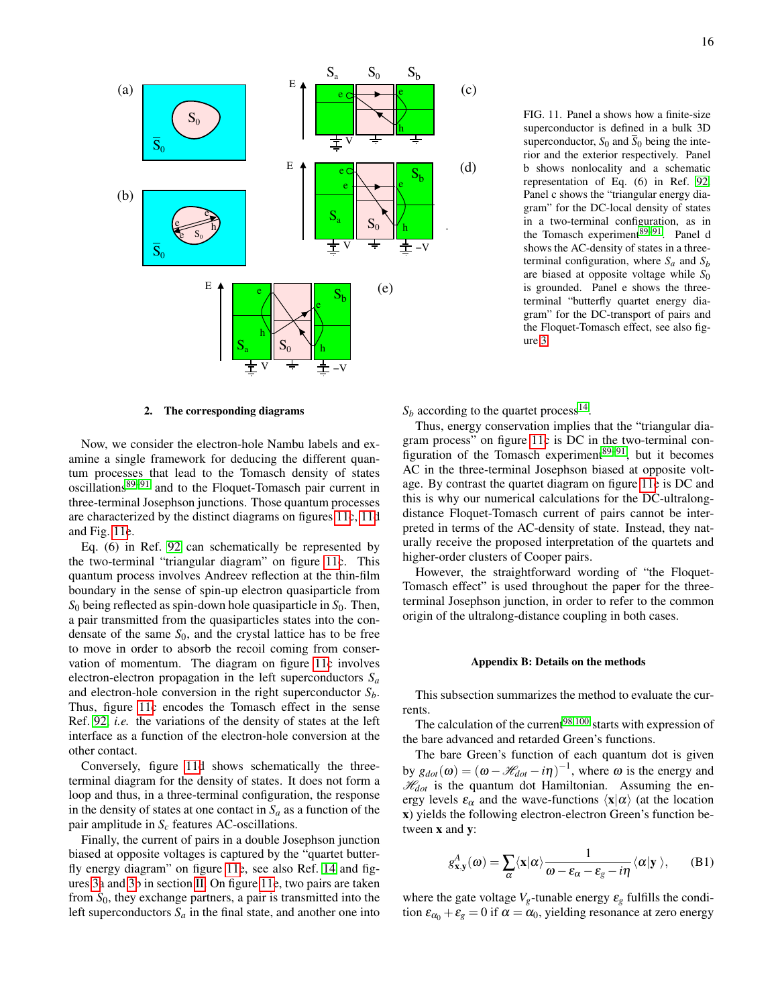

<span id="page-15-3"></span>FIG. 11. Panel a shows how a finite-size superconductor is defined in a bulk 3D superconductor,  $S_0$  and  $\overline{S}_0$  being the interior and the exterior respectively. Panel b shows nonlocality and a schematic representation of Eq. (6) in Ref. [92.](#page-19-5) Panel c shows the "triangular energy diagram" for the DC-local density of states in a two-terminal configuration, as in the Tomasch experiment $\overline{89-91}$  $\overline{89-91}$  $\overline{89-91}$ . Panel d shows the AC-density of states in a threeterminal configuration, where  $S_a$  and  $S_b$ are biased at opposite voltage while *S*<sup>0</sup> is grounded. Panel e shows the threeterminal "butterfly quartet energy diagram" for the DC-transport of pairs and the Floquet-Tomasch effect, see also figure [3.](#page-2-3)

# <span id="page-15-2"></span>2. The corresponding diagrams

Now, we consider the electron-hole Nambu labels and examine a single framework for deducing the different quantum processes that lead to the Tomasch density of states oscillations[89](#page-19-3)[–91](#page-19-4) and to the Floquet-Tomasch pair current in three-terminal Josephson junctions. Those quantum processes are characterized by the distinct diagrams on figures [11c](#page-15-3), [11d](#page-15-3) and Fig. [11e](#page-15-3).

Eq. (6) in Ref. [92](#page-19-5) can schematically be represented by the two-terminal "triangular diagram" on figure [11c](#page-15-3). This quantum process involves Andreev reflection at the thin-film boundary in the sense of spin-up electron quasiparticle from  $S_0$  being reflected as spin-down hole quasiparticle in  $S_0$ . Then, a pair transmitted from the quasiparticles states into the condensate of the same  $S_0$ , and the crystal lattice has to be free to move in order to absorb the recoil coming from conservation of momentum. The diagram on figure [11c](#page-15-3) involves electron-electron propagation in the left superconductors *S<sup>a</sup>* and electron-hole conversion in the right superconductor *Sb*. Thus, figure [11c](#page-15-3) encodes the Tomasch effect in the sense Ref. [92,](#page-19-5) *i.e.* the variations of the density of states at the left interface as a function of the electron-hole conversion at the other contact.

Conversely, figure [11d](#page-15-3) shows schematically the threeterminal diagram for the density of states. It does not form a loop and thus, in a three-terminal configuration, the response in the density of states at one contact in  $S_a$  as a function of the pair amplitude in *S<sup>c</sup>* features AC-oscillations.

Finally, the current of pairs in a double Josephson junction biased at opposite voltages is captured by the "quartet butterfly energy diagram" on figure [11e](#page-15-3), see also Ref. [14](#page-17-5) and figures [3a](#page-2-3) and [3b](#page-2-3) in section [II.](#page-1-1) On figure [11e](#page-15-3), two pairs are taken from *S*0, they exchange partners, a pair is transmitted into the left superconductors  $S_a$  in the final state, and another one into

 $S_b$  according to the quartet process<sup>[14](#page-17-5)</sup>.

Thus, energy conservation implies that the "triangular diagram process" on figure [11c](#page-15-3) is DC in the two-terminal configuration of the Tomasch experiment $89-91$  $89-91$ , but it becomes AC in the three-terminal Josephson biased at opposite voltage. By contrast the quartet diagram on figure [11e](#page-15-3) is DC and this is why our numerical calculations for the DC-ultralongdistance Floquet-Tomasch current of pairs cannot be interpreted in terms of the AC-density of state. Instead, they naturally receive the proposed interpretation of the quartets and higher-order clusters of Cooper pairs.

However, the straightforward wording of "the Floquet-Tomasch effect" is used throughout the paper for the threeterminal Josephson junction, in order to refer to the common origin of the ultralong-distance coupling in both cases.

#### <span id="page-15-0"></span>Appendix B: Details on the methods

This subsection summarizes the method to evaluate the currents.

The calculation of the current<sup>[98,](#page-19-13)[100](#page-20-13)</sup> starts with expression of the bare advanced and retarded Green's functions.

The bare Green's function of each quantum dot is given by  $g_{dot}(\omega) = (\omega - \mathcal{H}_{dot} - i\eta)^{-1}$ , where  $\omega$  is the energy and  $\mathcal{H}_{dot}$  is the quantum dot Hamiltonian. Assuming the energy levels  $\varepsilon_{\alpha}$  and the wave-functions  $\langle x|\alpha\rangle$  (at the location x) yields the following electron-electron Green's function between x and y:

<span id="page-15-1"></span>
$$
g_{\mathbf{x},\mathbf{y}}^A(\boldsymbol{\omega}) = \sum_{\alpha} \langle \mathbf{x} | \alpha \rangle \frac{1}{\boldsymbol{\omega} - \varepsilon_{\alpha} - \varepsilon_{g} - i\eta} \langle \alpha | \mathbf{y} \rangle, \quad (B1)
$$

where the gate voltage  $V_g$ -tunable energy  $\varepsilon_g$  fulfills the condition  $\varepsilon_{\alpha_0} + \varepsilon_{g} = 0$  if  $\alpha = \alpha_0$ , yielding resonance at zero energy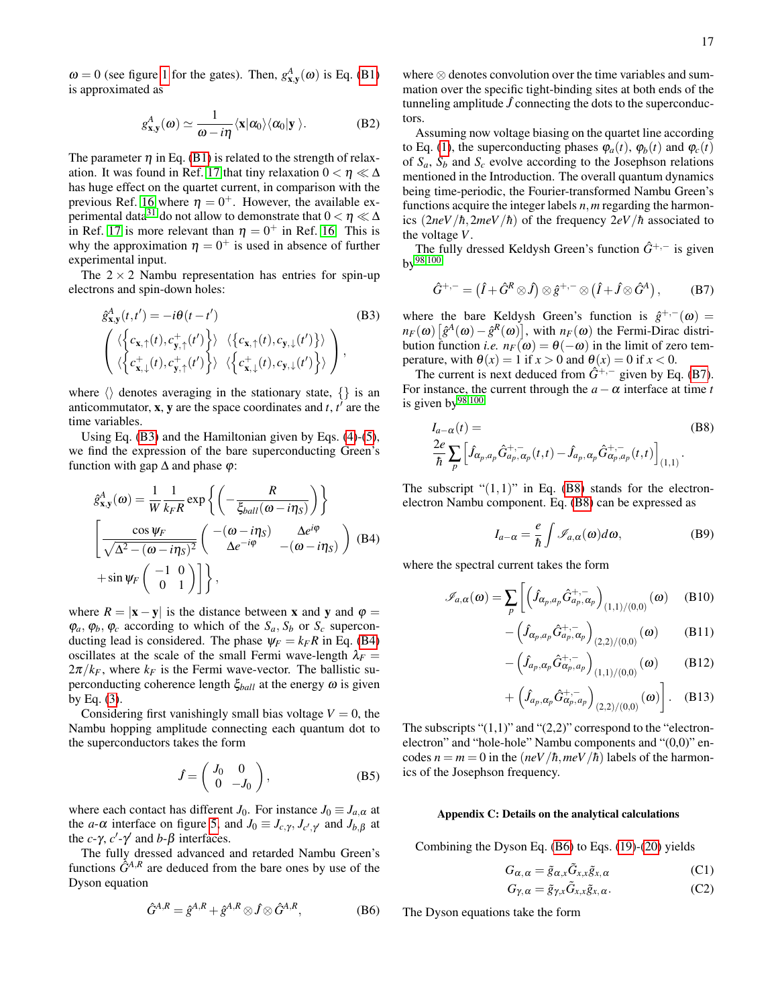17

 $\omega = 0$  (see figure [1](#page-1-0) for the gates). Then,  $g_{\mathbf{x},\mathbf{y}}^A(\omega)$  is Eq. [\(B1\)](#page-15-1) is approximated as

<span id="page-16-1"></span>
$$
g_{\mathbf{x},\mathbf{y}}^A(\boldsymbol{\omega}) \simeq \frac{1}{\boldsymbol{\omega} - i\eta} \langle \mathbf{x} | \alpha_0 \rangle \langle \alpha_0 | \mathbf{y} \rangle.
$$
 (B2)

The parameter  $\eta$  in Eq. [\(B1\)](#page-15-1) is related to the strength of relax-ation. It was found in Ref. [17](#page-17-6) that tiny relaxation  $0 < \eta \ll \Delta$ has huge effect on the quartet current, in comparison with the previous Ref. [16](#page-17-8) where  $\eta = 0^+$ . However, the available ex-perimental data<sup>[31](#page-18-13)</sup> do not allow to demonstrate that  $0 < \eta \ll \Delta$ in Ref. [17](#page-17-6) is more relevant than  $\eta = 0^+$  in Ref. [16.](#page-17-8) This is why the approximation  $\eta = 0^+$  is used in absence of further experimental input.

The  $2 \times 2$  Nambu representation has entries for spin-up electrons and spin-down holes:

<span id="page-16-0"></span>
$$
\hat{g}_{\mathbf{x},\mathbf{y}}^{A}(t,t') = -i\theta(t-t') \tag{B3}
$$
\n
$$
\begin{pmatrix}\n\langle \left\{c_{\mathbf{x},\uparrow}(t), c_{\mathbf{y},\uparrow}(t')\right\} \rangle & \langle \left\{c_{\mathbf{x},\uparrow}(t), c_{\mathbf{y},\downarrow}(t')\right\} \rangle \\
\langle \left\{c_{\mathbf{x},\downarrow}^{+}(t), c_{\mathbf{y},\uparrow}^{+}(t')\right\} \rangle & \langle \left\{c_{\mathbf{x},\downarrow}^{+}(t), c_{\mathbf{y},\downarrow}(t')\right\} \rangle\n\end{pmatrix},
$$

where  $\langle \rangle$  denotes averaging in the stationary state,  $\{\}$  is an anticommutator,  $x$ ,  $y$  are the space coordinates and  $t$ ,  $t'$  are the time variables.

Using Eq. [\(B3\)](#page-16-0) and the Hamiltonian given by Eqs. [\(4\)](#page-3-2)-[\(5\)](#page-3-2), we find the expression of the bare superconducting Green's function with gap  $\Delta$  and phase  $\varphi$ :

<span id="page-16-3"></span>
$$
\hat{g}_{\mathbf{x},\mathbf{y}}^{A}(\omega) = \frac{1}{W} \frac{1}{k_{F}R} \exp \left\{ \left( -\frac{R}{\xi_{ball}(\omega - i\eta_{S})} \right) \right\}
$$
\n
$$
\left[ \frac{\cos \psi_{F}}{\sqrt{\Delta^{2} - (\omega - i\eta_{S})^{2}}} \left( \begin{array}{cc} -(\omega - i\eta_{S}) & \Delta e^{i\varphi} \\ \Delta e^{-i\varphi} & -(\omega - i\eta_{S}) \end{array} \right) \right. \text{(B4)}
$$
\n
$$
+ \sin \psi_{F} \left( \begin{array}{cc} -1 & 0 \\ 0 & 1 \end{array} \right) \right\},
$$

where  $R = |\mathbf{x} - \mathbf{y}|$  is the distance between **x** and **y** and  $\varphi =$  $\varphi_a, \varphi_b, \varphi_c$  according to which of the  $S_a, S_b$  or  $S_c$  superconducting lead is considered. The phase  $\psi_F = k_F R$  in Eq. [\(B4\)](#page-16-3) oscillates at the scale of the small Fermi wave-length  $\lambda_F =$  $2\pi/k_F$ , where  $k_F$  is the Fermi wave-vector. The ballistic superconducting coherence length  $\xi_{ball}$  at the energy  $\omega$  is given by Eq. [\(3\)](#page-2-4).

Considering first vanishingly small bias voltage  $V = 0$ , the Nambu hopping amplitude connecting each quantum dot to the superconductors takes the form

$$
\hat{J} = \begin{pmatrix} J_0 & 0 \\ 0 & -J_0 \end{pmatrix},
$$
 (B5)

where each contact has different *J*<sub>0</sub>. For instance  $J_0 \equiv J_{a,\alpha}$  at the *a*- $\alpha$  interface on figure [5,](#page-4-0) and  $J_0 \equiv J_{c,\gamma}, J_{c',\gamma'}$  and  $J_{b,\beta}$  at the *c*- $\gamma$ , *c'*- $\gamma'$  and *b*- $\beta$  interfaces.

The fully dressed advanced and retarded Nambu Green's functions  $\hat{G}^{A,R}$  are deduced from the bare ones by use of the Dyson equation

<span id="page-16-4"></span>
$$
\hat{G}^{A,R} = \hat{g}^{A,R} + \hat{g}^{A,R} \otimes \hat{J} \otimes \hat{G}^{A,R},
$$
 (B6)

where ⊗ denotes convolution over the time variables and summation over the specific tight-binding sites at both ends of the tunneling amplitude  $\hat{J}$  connecting the dots to the superconductors.

Assuming now voltage biasing on the quartet line according to Eq. [\(1\)](#page-0-0), the superconducting phases  $\varphi_a(t)$ ,  $\varphi_b(t)$  and  $\varphi_c(t)$ of  $S_a$ ,  $S_b$  and  $S_c$  evolve according to the Josephson relations mentioned in the Introduction. The overall quantum dynamics being time-periodic, the Fourier-transformed Nambu Green's functions acquire the integer labels *n*,*m* regarding the harmonics  $(2neV/\hbar, 2meV/\hbar)$  of the frequency  $2eV/\hbar$  associated to the voltage *V*.

The fully dressed Keldysh Green's function  $\hat{G}^{+,-}$  is given  $bv^{98,100}$  $bv^{98,100}$  $bv^{98,100}$  $bv^{98,100}$ 

<span id="page-16-5"></span>
$$
\hat{G}^{+,-} = (\hat{I} + \hat{G}^R \otimes \hat{J}) \otimes \hat{g}^{+,-} \otimes (\hat{I} + \hat{J} \otimes \hat{G}^A) ,\qquad (B7)
$$

where the bare Keldysh Green's function is  $\hat{g}^{+,-}(\omega)$  =  $n_F(\omega) \left[ \hat{g}^A(\omega) - \hat{g}^R(\omega) \right]$ , with  $n_F(\omega)$  the Fermi-Dirac distribution function *i.e.*  $n_F(\omega) = \theta(-\omega)$  in the limit of zero temperature, with  $\theta(x) = 1$  if  $x > 0$  and  $\theta(x) = 0$  if  $x < 0$ .

The current is next deduced from  $\hat{G}^{+,-}$  given by Eq. [\(B7\)](#page-16-5). For instance, the current through the  $a - \alpha$  interface at time *t* is given by  $98,100$  $98,100$ 

<span id="page-16-6"></span>
$$
I_{a-\alpha}(t) = \text{(B8)}
$$
  

$$
\frac{2e}{\hbar} \sum_{p} \left[ \hat{f}_{\alpha_p, a_p} \hat{G}_{a_p, \alpha_p}^{+,-}(t, t) - \hat{f}_{a_p, \alpha_p} \hat{G}_{\alpha_p, a_p}^{+,-}(t, t) \right]_{(1,1)}.
$$

The subscript " $(1,1)$ " in Eq. [\(B8\)](#page-16-6) stands for the electronelectron Nambu component. Eq. [\(B8\)](#page-16-6) can be expressed as

$$
I_{a-\alpha} = \frac{e}{\hbar} \int \mathcal{I}_{a,\alpha}(\omega) d\omega, \tag{B9}
$$

where the spectral current takes the form

<span id="page-16-7"></span>
$$
\mathscr{I}_{a,\alpha}(\omega) = \sum_{p} \left[ \left( \hat{J}_{\alpha_p,a_p} \hat{G}^{+,-}_{a_p,\alpha_p} \right)_{(1,1)/(0,0)} (\omega) \right] (B10)
$$

$$
-\left(\hat{J}_{\alpha_p,a_p}\hat{G}_{a_p,\alpha_p}^{+,-}\right)_{(2,2)/(0,0)}(\omega)
$$
 (B11)

$$
-\left(\hat{J}_{a_p,\alpha_p}\hat{G}^{+,-}_{\alpha_p,a_p}\right)_{(1,1)/(0,0)}(\omega) \qquad (B12)
$$

$$
+\left(\widehat{J}_{a_p,\alpha_p}\widehat{G}_{\alpha_p,a_p}^{+,-}\right)_{(2,2)/(0,0)}(\omega)\bigg].
$$
 (B13)

The subscripts " $(1,1)$ " and " $(2,2)$ " correspond to the "electronelectron" and "hole-hole" Nambu components and "(0,0)" encodes  $n = m = 0$  in the  $\left(\frac{neV}{\hbar}, \frac{meV}{\hbar}\right)$  labels of the harmonics of the Josephson frequency.

### <span id="page-16-2"></span>Appendix C: Details on the analytical calculations

Combining the Dyson Eq. [\(B6\)](#page-16-4) to Eqs. [\(19\)](#page-6-2)-[\(20\)](#page-6-2) yields

<span id="page-16-8"></span>
$$
G_{\alpha,\,\alpha} = \tilde{g}_{\alpha,x}\tilde{G}_{x,x}\tilde{g}_{x,\,\alpha} \tag{C1}
$$

$$
G_{\gamma,\alpha} = \tilde{g}_{\gamma,x}\tilde{G}_{x,x}\tilde{g}_{x,\alpha}.
$$
 (C2)

The Dyson equations take the form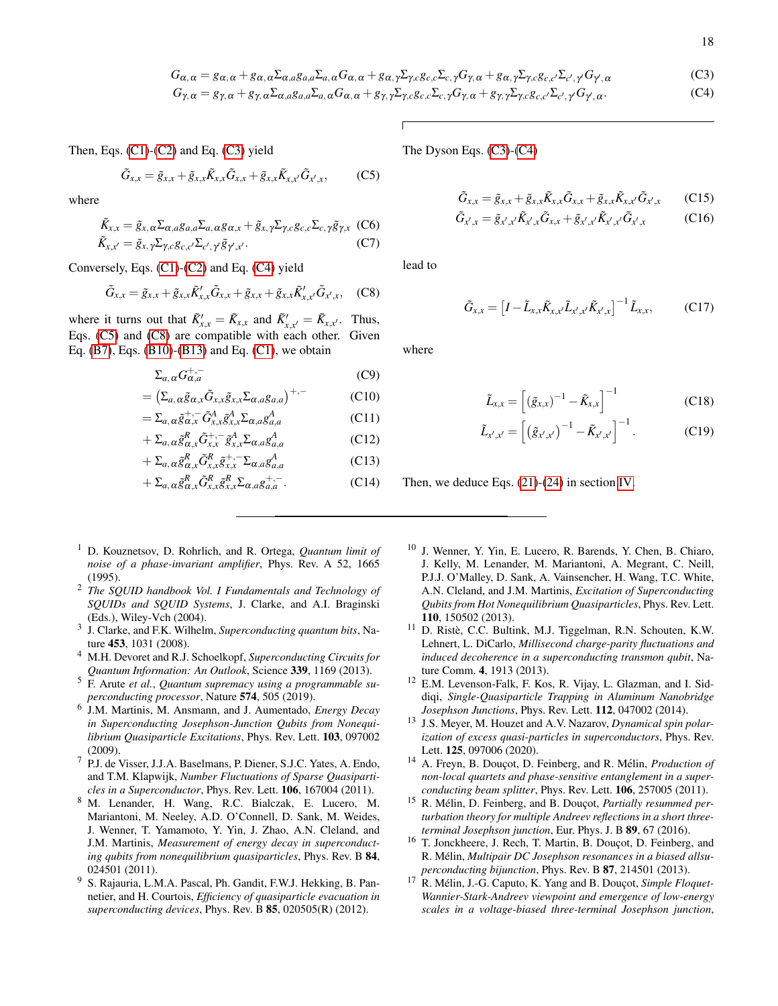<span id="page-17-9"></span>
$$
G_{\alpha,\alpha} = g_{\alpha,\alpha} + g_{\alpha,\alpha} \Sigma_{\alpha,a} g_{a,a} \Sigma_{a,\alpha} G_{\alpha,\alpha} + g_{\alpha,\gamma} \Sigma_{\gamma,c} g_{c,c} \Sigma_{c,\gamma} G_{\gamma,\alpha} + g_{\alpha,\gamma} \Sigma_{\gamma,c} g_{c,c'} \Sigma_{c',\gamma} G_{\gamma',\alpha}
$$
(C3)  

$$
G_{\gamma,\alpha} = g_{\gamma,\alpha} + g_{\gamma,\alpha} \Sigma_{\alpha,a} g_{a,a} \Sigma_{a,\alpha} G_{\alpha,\alpha} + g_{\gamma,\gamma} \Sigma_{\gamma,c} g_{c,c} \Sigma_{c,\gamma} G_{\gamma,\alpha} + g_{\gamma,\gamma} \Sigma_{\gamma,c} g_{c,c'} \Sigma_{c',\gamma} G_{\gamma',\alpha}.
$$

Then, Eqs.  $(C1)$ - $(C2)$  and Eq.  $(C3)$  yield

<span id="page-17-10"></span>
$$
\tilde{G}_{x,x} = \tilde{g}_{x,x} + \tilde{g}_{x,x}\tilde{K}_{x,x}\tilde{G}_{x,x} + \tilde{g}_{x,x}\tilde{K}_{x,x'}\tilde{G}_{x',x},
$$
 (C5)

where

$$
\tilde{K}_{x,x} = \tilde{g}_{x,\alpha} \Sigma_{\alpha,a} g_{a,a} \Sigma_{a,\alpha} g_{\alpha,x} + \tilde{g}_{x,\gamma} \Sigma_{\gamma,c} g_{c,c} \Sigma_{c,\gamma} \tilde{g}_{\gamma,x}
$$
 (C6)

$$
\tilde{K}_{x,x'} = \tilde{g}_{x,\gamma} \Sigma_{\gamma,c} g_{c,c'} \Sigma_{c',\gamma'} \tilde{g}_{\gamma',x'}.
$$
 (C7)

Conversely, Eqs. [\(C1\)](#page-16-8)-[\(C2\)](#page-16-8) and Eq. [\(C4\)](#page-17-9) yield

<span id="page-17-11"></span>
$$
\tilde{G}_{x,x} = \tilde{g}_{x,x} + \tilde{g}_{x,x}\tilde{K}'_{x,x}\tilde{G}_{x,x} + \tilde{g}_{x,x} + \tilde{g}_{x,x}\tilde{K}'_{x,x'}\tilde{G}_{x',x}, \quad (C8)
$$

where it turns out that  $\tilde{K}'_{x,x} = \tilde{K}_{x,x}$  and  $\tilde{K}'_{x,x'} = \tilde{K}_{x,x'}$ . Thus, Eqs. [\(C5\)](#page-17-10) and [\(C8\)](#page-17-11) are compatible with each other. Given Eq. [\(B7\)](#page-16-5), Eqs. [\(B10\)](#page-16-7)-[\(B13\)](#page-16-7) and Eq. [\(C1\)](#page-16-8), we obtain

$$
\Sigma_{a,\alpha} G_{\alpha,a}^{+,-} \tag{C9}
$$

$$
= \left(\Sigma_{a,\alpha} \tilde{g}_{\alpha,x} \tilde{G}_{x,x} \tilde{g}_{x,x} \Sigma_{\alpha,a} g_{a,a}\right)^{+,-} \tag{C10}
$$

$$
=\Sigma_{a,\alpha}\tilde{g}_{\alpha,x}^{+,-}\tilde{G}_{x,x}^{A}\tilde{g}_{x,x}^{A}\Sigma_{\alpha,a}g_{a,a}^{A}
$$
 (C11)

$$
+\Sigma_{a,\alpha} \tilde{g}_{\alpha,x}^{R} \tilde{G}_{x,x}^{+,-} \tilde{g}_{x,x}^{A} \Sigma_{\alpha,a} g_{a,a}^{A}
$$
 (C12)

$$
+\Sigma_{a,\alpha} \tilde{g}^R_{\alpha,x} \tilde{G}^R_{x,x} \tilde{g}^{+,-}_{x,x} \Sigma_{\alpha,a} g^A_{a,a}
$$
 (C13)

$$
+\Sigma_{a,\alpha}\tilde{g}_{\alpha,x}^{R}\tilde{G}_{x,x}^{R}\tilde{g}_{x,x}^{R}\Sigma_{\alpha,a}g_{a,a}^{+,-}.
$$
 (C14)

- <span id="page-17-0"></span><sup>1</sup> D. Kouznetsov, D. Rohrlich, and R. Ortega, *Quantum limit of noise of a phase-invariant amplifier*, Phys. Rev. A 52, 1665 (1995).
- <sup>2</sup> *The SQUID handbook Vol. I Fundamentals and Technology of SQUIDs and SQUID Systems*, J. Clarke, and A.I. Braginski (Eds.), Wiley-Vch (2004).
- 3 J. Clarke, and F.K. Wilhelm, *Superconducting quantum bits*, Nature 453, 1031 (2008).
- <span id="page-17-1"></span><sup>4</sup> M.H. Devoret and R.J. Schoelkopf, *Superconducting Circuits for Quantum Information: An Outlook*, Science 339, 1169 (2013).
- <span id="page-17-2"></span><sup>5</sup> F. Arute *et al.*, *Quantum supremacy using a programmable superconducting processor*, Nature 574, 505 (2019).
- <span id="page-17-3"></span>6 J.M. Martinis, M. Ansmann, and J. Aumentado, *Energy Decay in Superconducting Josephson-Junction Qubits from Nonequilibrium Quasiparticle Excitations*, Phys. Rev. Lett. 103, 097002 (2009).
- <sup>7</sup> P.J. de Visser, J.J.A. Baselmans, P. Diener, S.J.C. Yates, A. Endo, and T.M. Klapwijk, *Number Fluctuations of Sparse Quasiparticles in a Superconductor*, Phys. Rev. Lett. 106, 167004 (2011).
- <sup>8</sup> M. Lenander, H. Wang, R.C. Bialczak, E. Lucero, M. Mariantoni, M. Neeley, A.D. O'Connell, D. Sank, M. Weides, J. Wenner, T. Yamamoto, Y. Yin, J. Zhao, A.N. Cleland, and J.M. Martinis, *Measurement of energy decay in superconducting qubits from nonequilibrium quasiparticles*, Phys. Rev. B 84, 024501 (2011).
- <sup>9</sup> S. Rajauria, L.M.A. Pascal, Ph. Gandit, F.W.J. Hekking, B. Pannetier, and H. Courtois, *Efficiency of quasiparticle evacuation in superconducting devices*, Phys. Rev. B 85, 020505(R) (2012).

The Dyson Eqs. [\(C3\)](#page-17-9)-[\(C4\)](#page-17-9)

$$
\tilde{G}_{x,x} = \tilde{g}_{x,x} + \tilde{g}_{x,x}\tilde{K}_{x,x}\tilde{G}_{x,x} + \tilde{g}_{x,x}\tilde{K}_{x,x'}\tilde{G}_{x',x}
$$
(C15)

$$
\tilde{G}_{x',x} = \tilde{g}_{x',x'} \tilde{K}_{x',x} \tilde{G}_{x,x} + \tilde{g}_{x',x'} \tilde{K}_{x',x'} \tilde{G}_{x',x}
$$
 (C16)

lead to

$$
\tilde{G}_{x,x} = \left[I - \tilde{L}_{x,x}\tilde{K}_{x,x'}\tilde{L}_{x',x'}\tilde{K}_{x',x}\right]^{-1}\tilde{L}_{x,x},
$$
 (C17)

where

$$
\tilde{L}_{x,x} = \left[ (\tilde{g}_{x,x})^{-1} - \tilde{K}_{x,x} \right]^{-1}
$$
 (C18)

$$
\tilde{L}_{x',x'} = \left[ \left( \tilde{g}_{x',x'} \right)^{-1} - \tilde{K}_{x',x'} \right]^{-1}.
$$
 (C19)

Then, we deduce Eqs. [\(21\)](#page-6-3)-[\(24\)](#page-6-3) in section [IV.](#page-6-0)

- <sup>10</sup> J. Wenner, Y. Yin, E. Lucero, R. Barends, Y. Chen, B. Chiaro, J. Kelly, M. Lenander, M. Mariantoni, A. Megrant, C. Neill, P.J.J. O'Malley, D. Sank, A. Vainsencher, H. Wang, T.C. White, A.N. Cleland, and J.M. Martinis, *Excitation of Superconducting Qubits from Hot Nonequilibrium Quasiparticles*, Phys. Rev. Lett. 110, 150502 (2013).
- $11$  D. Ristè, C.C. Bultink, M.J. Tiggelman, R.N. Schouten, K.W. Lehnert, L. DiCarlo, *Millisecond charge-parity fluctuations and induced decoherence in a superconducting transmon qubit*, Nature Comm. 4, 1913 (2013).
- <sup>12</sup> E.M. Levenson-Falk, F. Kos, R. Vijay, L. Glazman, and I. Siddiqi, *Single-Quasiparticle Trapping in Aluminum Nanobridge Josephson Junctions*, Phys. Rev. Lett. 112, 047002 (2014).
- <span id="page-17-4"></span><sup>13</sup> J.S. Meyer, M. Houzet and A.V. Nazarov, *Dynamical spin polarization of excess quasi-particles in superconductors*, Phys. Rev. Lett. 125, 097006 (2020).
- <span id="page-17-5"></span><sup>14</sup> A. Freyn, B. Douçot, D. Feinberg, and R. Mélin, *Production of non-local quartets and phase-sensitive entanglement in a superconducting beam splitter*, Phys. Rev. Lett. 106, 257005 (2011).
- <span id="page-17-7"></span><sup>15</sup> R. Mélin, D. Feinberg, and B. Douçot, *Partially resummed perturbation theory for multiple Andreev reflections in a short threeterminal Josephson junction*, Eur. Phys. J. B 89, 67 (2016).
- <span id="page-17-8"></span><sup>16</sup> T. Jonckheere, J. Rech, T. Martin, B. Douçot, D. Feinberg, and R. Mélin, *Multipair DC Josephson resonances in a biased allsuperconducting bijunction*, Phys. Rev. B 87, 214501 (2013).
- <span id="page-17-6"></span><sup>17</sup> R. Mélin, J.-G. Caputo, K. Yang and B. Douçot, *Simple Floquet-Wannier-Stark-Andreev viewpoint and emergence of low-energy scales in a voltage-biased three-terminal Josephson junction*,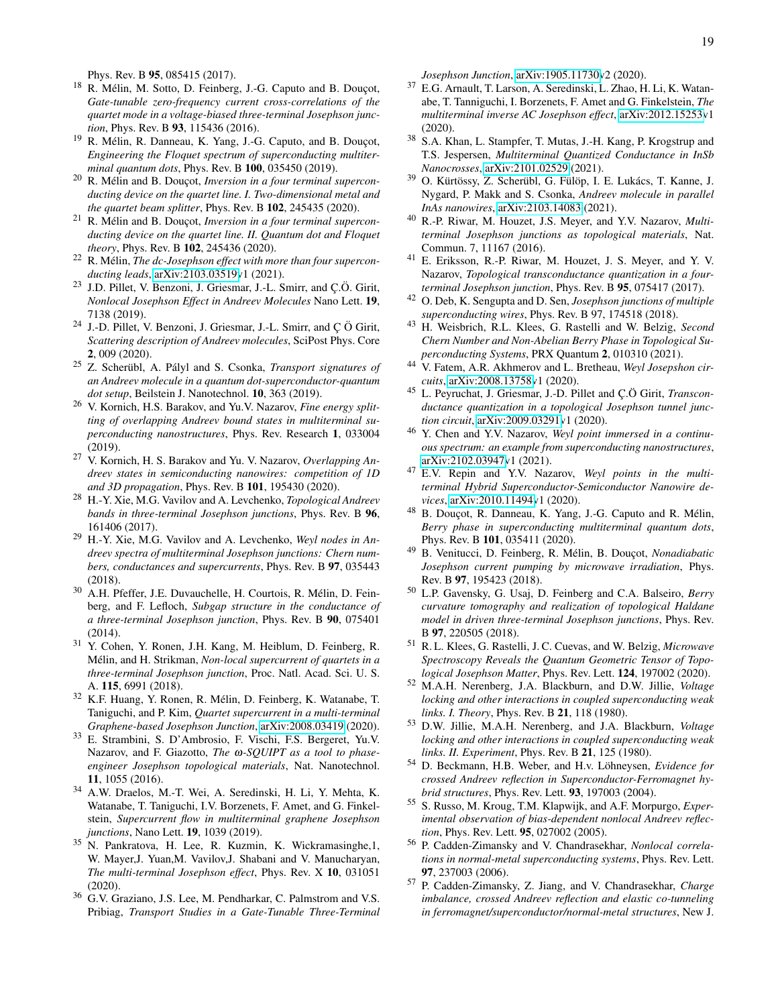Phys. Rev. B 95, 085415 (2017).

- <span id="page-18-19"></span><sup>18</sup> R. Mélin, M. Sotto, D. Feinberg, J.-G. Caputo and B. Douçot, *Gate-tunable zero-frequency current cross-correlations of the quartet mode in a voltage-biased three-terminal Josephson junction*, Phys. Rev. B 93, 115436 (2016).
- <span id="page-18-17"></span> $19$  R. Mélin, R. Danneau, K. Yang, J.-G. Caputo, and B. Douçot, *Engineering the Floquet spectrum of superconducting multiterminal quantum dots*, Phys. Rev. B 100, 035450 (2019).
- <span id="page-18-18"></span><sup>20</sup> R. Mélin and B. Douçot, *Inversion in a four terminal superconducting device on the quartet line. I. Two-dimensional metal and the quartet beam splitter*, Phys. Rev. B 102, 245435 (2020).
- <span id="page-18-15"></span><sup>21</sup> R. Mélin and B. Douçot, *Inversion in a four terminal superconducting device on the quartet line. II. Quantum dot and Floquet theory*, Phys. Rev. B 102, 245436 (2020).
- <span id="page-18-7"></span><sup>22</sup> R. Mélin, *The dc-Josephson effect with more than four superconducting leads*, [arXiv:2103.03519v](http://arxiv.org/abs/2103.03519)1 (2021).
- <span id="page-18-9"></span><sup>23</sup> J.D. Pillet, V. Benzoni, J. Griesmar, J.-L. Smirr, and Ç.Ö. Girit, *Nonlocal Josephson Effect in Andreev Molecules* Nano Lett. 19, 7138 (2019).
- <span id="page-18-11"></span><sup>24</sup> J.-D. Pillet, V. Benzoni, J. Griesmar, J.-L. Smirr, and Ç Ö Girit, *Scattering description of Andreev molecules*, SciPost Phys. Core 2, 009 (2020).
- <sup>25</sup> Z. Scherübl, A. Pályl and S. Csonka, *Transport signatures of an Andreev molecule in a quantum dot-superconductor-quantum dot setup*, Beilstein J. Nanotechnol. 10, 363 (2019).
- <sup>26</sup> V. Kornich, H.S. Barakov, and Yu.V. Nazarov, *Fine energy splitting of overlapping Andreev bound states in multiterminal superconducting nanostructures*, Phys. Rev. Research 1, 033004 (2019).
- <span id="page-18-10"></span><sup>27</sup> V. Kornich, H. S. Barakov and Yu. V. Nazarov, *Overlapping Andreev states in semiconducting nanowires: competition of 1D and 3D propagation*, Phys. Rev. B 101, 195430 (2020).
- <sup>28</sup> H.-Y. Xie, M.G. Vavilov and A. Levchenko, *Topological Andreev bands in three-terminal Josephson junctions*, Phys. Rev. B 96, 161406 (2017).
- <sup>29</sup> H.-Y. Xie, M.G. Vavilov and A. Levchenko, *Weyl nodes in Andreev spectra of multiterminal Josephson junctions: Chern numbers, conductances and supercurrents*, Phys. Rev. B 97, 035443 (2018).
- <span id="page-18-12"></span><sup>30</sup> A.H. Pfeffer, J.E. Duvauchelle, H. Courtois, R. Melin, D. Fein- ´ berg, and F. Lefloch, *Subgap structure in the conductance of a three-terminal Josephson junction*, Phys. Rev. B 90, 075401 (2014).
- <span id="page-18-13"></span><sup>31</sup> Y. Cohen, Y. Ronen, J.H. Kang, M. Heiblum, D. Feinberg, R. Mélin, and H. Strikman, *Non-local supercurrent of quartets in a three-terminal Josephson junction*, Proc. Natl. Acad. Sci. U. S. A. 115, 6991 (2018).
- <span id="page-18-14"></span><sup>32</sup> K.F. Huang, Y. Ronen, R. Melin, D. Feinberg, K. Watanabe, T. ´ Taniguchi, and P. Kim, *Quartet supercurrent in a multi-terminal Graphene-based Josephson Junction*, [arXiv:2008.03419](http://arxiv.org/abs/2008.03419) (2020).
- <span id="page-18-16"></span><sup>33</sup> E. Strambini, S. D'Ambrosio, F. Vischi, F.S. Bergeret, Yu.V. Nazarov, and F. Giazotto, *The* ω*-SQUIPT as a tool to phaseengineer Josephson topological materials*, Nat. Nanotechnol. 11, 1055 (2016).
- <sup>34</sup> A.W. Draelos, M.-T. Wei, A. Seredinski, H. Li, Y. Mehta, K. Watanabe, T. Taniguchi, I.V. Borzenets, F. Amet, and G. Finkelstein, *Supercurrent flow in multiterminal graphene Josephson junctions*, Nano Lett. 19, 1039 (2019).
- <sup>35</sup> N. Pankratova, H. Lee, R. Kuzmin, K. Wickramasinghe,1, W. Mayer,J. Yuan,M. Vavilov,J. Shabani and V. Manucharyan, *The multi-terminal Josephson effect*, Phys. Rev. X 10, 031051 (2020).
- <sup>36</sup> G.V. Graziano, J.S. Lee, M. Pendharkar, C. Palmstrom and V.S. Pribiag, *Transport Studies in a Gate-Tunable Three-Terminal*

*Josephson Junction*, [arXiv:1905.11730v](http://arxiv.org/abs/1905.11730)2 (2020).

- <sup>37</sup> E.G. Arnault, T. Larson, A. Seredinski, L. Zhao, H. Li, K. Watanabe, T. Tanniguchi, I. Borzenets, F. Amet and G. Finkelstein, *The multiterminal inverse AC Josephson effect*, [arXiv:2012.15253v](http://arxiv.org/abs/2012.15253)1 (2020).
- <sup>38</sup> S.A. Khan, L. Stampfer, T. Mutas, J.-H. Kang, P. Krogstrup and T.S. Jespersen, *Multiterminal Quantized Conductance in InSb Nanocrosses*, [arXiv:2101.02529](http://arxiv.org/abs/2101.02529) (2021).
- <span id="page-18-0"></span> $39$  O. Kürtössy, Z. Scherübl, G. Fülöp, I. E. Lukács, T. Kanne, J. Nygard, P. Makk and S. Csonka, *Andreev molecule in parallel InAs nanowires*, [arXiv:2103.14083](http://arxiv.org/abs/2103.14083) (2021).
- <span id="page-18-1"></span><sup>40</sup> R.-P. Riwar, M. Houzet, J.S. Meyer, and Y.V. Nazarov, *Multiterminal Josephson junctions as topological materials*, Nat. Commun. 7, 11167 (2016).
- <sup>41</sup> E. Eriksson, R.-P. Riwar, M. Houzet, J. S. Meyer, and Y. V. Nazarov, *Topological transconductance quantization in a fourterminal Josephson junction*, Phys. Rev. B 95, 075417 (2017).
- <sup>42</sup> O. Deb, K. Sengupta and D. Sen, *Josephson junctions of multiple superconducting wires*, Phys. Rev. B 97, 174518 (2018).
- <sup>43</sup> H. Weisbrich, R.L. Klees, G. Rastelli and W. Belzig, *Second Chern Number and Non-Abelian Berry Phase in Topological Superconducting Systems*, PRX Quantum 2, 010310 (2021).
- <sup>44</sup> V. Fatem, A.R. Akhmerov and L. Bretheau, *Weyl Josepshon circuits*, [arXiv:2008.13758v](http://arxiv.org/abs/2008.13758)1 (2020).
- 45 L. Peyruchat, J. Griesmar, J.-D. Pillet and Ç.Ö Girit, *Transconductance quantization in a topological Josephson tunnel junction circuit*, [arXiv:2009.03291v](http://arxiv.org/abs/2009.03291)1 (2020).
- <sup>46</sup> Y. Chen and Y.V. Nazarov, *Weyl point immersed in a continuous spectrum: an example from superconducting nanostructures*, [arXiv:2102.03947v](http://arxiv.org/abs/2102.03947)1 (2021).
- <sup>47</sup> E.V. Repin and Y.V. Nazarov, *Weyl points in the multiterminal Hybrid Superconductor-Semiconductor Nanowire devices*, [arXiv:2010.11494v](http://arxiv.org/abs/2010.11494)1 (2020).
- <span id="page-18-2"></span><sup>48</sup> B. Douçot, R. Danneau, K. Yang, J.-G. Caputo and R. Mélin, *Berry phase in superconducting multiterminal quantum dots*, Phys. Rev. B 101, 035411 (2020).
- <span id="page-18-3"></span>49 B. Venitucci, D. Feinberg, R. Mélin, B. Douçot, Nonadiabatic *Josephson current pumping by microwave irradiation*, Phys. Rev. B 97, 195423 (2018).
- <sup>50</sup> L.P. Gavensky, G. Usaj, D. Feinberg and C.A. Balseiro, *Berry curvature tomography and realization of topological Haldane model in driven three-terminal Josephson junctions*, Phys. Rev. B 97, 220505 (2018).
- <span id="page-18-4"></span><sup>51</sup> R. L. Klees, G. Rastelli, J. C. Cuevas, and W. Belzig, *Microwave Spectroscopy Reveals the Quantum Geometric Tensor of Topological Josephson Matter*, Phys. Rev. Lett. 124, 197002 (2020).
- <span id="page-18-5"></span><sup>52</sup> M.A.H. Nerenberg, J.A. Blackburn, and D.W. Jillie, *Voltage locking and other interactions in coupled superconducting weak links. I. Theory*, Phys. Rev. B 21, 118 (1980).
- <span id="page-18-6"></span><sup>53</sup> D.W. Jillie, M.A.H. Nerenberg, and J.A. Blackburn, *Voltage locking and other interactions in coupled superconducting weak links. II. Experiment*, Phys. Rev. B 21, 125 (1980).
- <span id="page-18-8"></span>54 D. Beckmann, H.B. Weber, and H.v. Löhneysen, *Evidence for crossed Andreev reflection in Superconductor-Ferromagnet hybrid structures*, Phys. Rev. Lett. 93, 197003 (2004).
- <sup>55</sup> S. Russo, M. Kroug, T.M. Klapwijk, and A.F. Morpurgo, *Experimental observation of bias-dependent nonlocal Andreev reflection*, Phys. Rev. Lett. 95, 027002 (2005).
- <sup>56</sup> P. Cadden-Zimansky and V. Chandrasekhar, *Nonlocal correlations in normal-metal superconducting systems*, Phys. Rev. Lett. 97, 237003 (2006).
- <sup>57</sup> P. Cadden-Zimansky, Z. Jiang, and V. Chandrasekhar, *Charge imbalance, crossed Andreev reflection and elastic co-tunneling in ferromagnet/superconductor/normal-metal structures*, New J.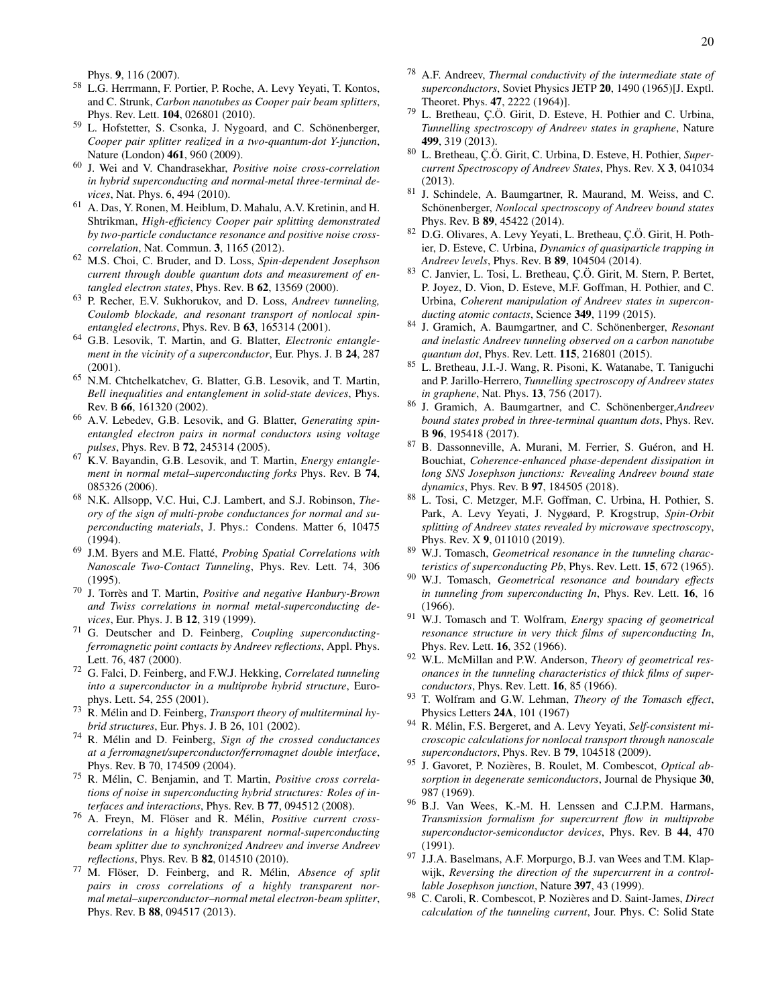Phys. 9, 116 (2007).

- <sup>58</sup> L.G. Herrmann, F. Portier, P. Roche, A. Levy Yeyati, T. Kontos, and C. Strunk, *Carbon nanotubes as Cooper pair beam splitters*, Phys. Rev. Lett. 104, 026801 (2010).
- <sup>59</sup> L. Hofstetter, S. Csonka, J. Nygoard, and C. Schönenberger, *Cooper pair splitter realized in a two-quantum-dot Y-junction*, Nature (London) 461, 960 (2009).
- <sup>60</sup> J. Wei and V. Chandrasekhar, *Positive noise cross-correlation in hybrid superconducting and normal-metal three-terminal devices*, Nat. Phys. 6, 494 (2010).
- <span id="page-19-7"></span><sup>61</sup> A. Das, Y. Ronen, M. Heiblum, D. Mahalu, A.V. Kretinin, and H. Shtrikman, *High-efficiency Cooper pair splitting demonstrated by two-particle conductance resonance and positive noise crosscorrelation*, Nat. Commun. 3, 1165 (2012).
- <span id="page-19-8"></span><sup>62</sup> M.S. Choi, C. Bruder, and D. Loss, *Spin-dependent Josephson current through double quantum dots and measurement of entangled electron states*, Phys. Rev. B 62, 13569 (2000).
- <sup>63</sup> P. Recher, E.V. Sukhorukov, and D. Loss, *Andreev tunneling, Coulomb blockade, and resonant transport of nonlocal spinentangled electrons*, Phys. Rev. B 63, 165314 (2001).
- <span id="page-19-15"></span><sup>64</sup> G.B. Lesovik, T. Martin, and G. Blatter, *Electronic entanglement in the vicinity of a superconductor*, Eur. Phys. J. B 24, 287 (2001).
- <sup>65</sup> N.M. Chtchelkatchev, G. Blatter, G.B. Lesovik, and T. Martin, *Bell inequalities and entanglement in solid-state devices*, Phys. Rev. B 66, 161320 (2002).
- <sup>66</sup> A.V. Lebedev, G.B. Lesovik, and G. Blatter, *Generating spinentangled electron pairs in normal conductors using voltage pulses*, Phys. Rev. B 72, 245314 (2005).
- <sup>67</sup> K.V. Bayandin, G.B. Lesovik, and T. Martin, *Energy entanglement in normal metal–superconducting forks* Phys. Rev. B 74, 085326 (2006).
- <sup>68</sup> N.K. Allsopp, V.C. Hui, C.J. Lambert, and S.J. Robinson, *Theory of the sign of multi-probe conductances for normal and superconducting materials*, J. Phys.: Condens. Matter 6, 10475 (1994).
- <sup>69</sup> J.M. Byers and M.E. Flatte,´ *Probing Spatial Correlations with Nanoscale Two-Contact Tunneling*, Phys. Rev. Lett. 74, 306 (1995).
- <sup>70</sup> J. Torres and T. Martin, ` *Positive and negative Hanbury-Brown and Twiss correlations in normal metal-superconducting devices*, Eur. Phys. J. B 12, 319 (1999).
- <sup>71</sup> G. Deutscher and D. Feinberg, *Coupling superconductingferromagnetic point contacts by Andreev reflections*, Appl. Phys. Lett. 76, 487 (2000).
- <sup>72</sup> G. Falci, D. Feinberg, and F.W.J. Hekking, *Correlated tunneling into a superconductor in a multiprobe hybrid structure*, Europhys. Lett. 54, 255 (2001).
- <sup>73</sup> R. Mélin and D. Feinberg, *Transport theory of multiterminal hybrid structures*, Eur. Phys. J. B 26, 101 (2002).
- <span id="page-19-14"></span><sup>74</sup> R. Mélin and D. Feinberg, Sign of the crossed conductances *at a ferromagnet/superconductor/ferromagnet double interface*, Phys. Rev. B 70, 174509 (2004).
- <sup>75</sup> R. Mélin, C. Benjamin, and T. Martin, *Positive cross correlations of noise in superconducting hybrid structures: Roles of interfaces and interactions*, Phys. Rev. B 77, 094512 (2008).
- <sup>76</sup> A. Freyn, M. Flöser and R. Mélin, *Positive current crosscorrelations in a highly transparent normal-superconducting beam splitter due to synchronized Andreev and inverse Andreev reflections*, Phys. Rev. B 82, 014510 (2010).
- <span id="page-19-0"></span>77 M. Flöser, D. Feinberg, and R. Mélin, Absence of split *pairs in cross correlations of a highly transparent normal metal–superconductor–normal metal electron-beam splitter*, Phys. Rev. B 88, 094517 (2013).
- <span id="page-19-1"></span><sup>78</sup> A.F. Andreev, *Thermal conductivity of the intermediate state of superconductors*, Soviet Physics JETP 20, 1490 (1965)[J. Exptl. Theoret. Phys. 47, 2222 (1964)].
- 79 L. Bretheau, Ç.Ö. Girit, D. Esteve, H. Pothier and C. Urbina, *Tunnelling spectroscopy of Andreev states in graphene*, Nature 499, 319 (2013).
- 80 L. Bretheau, C.Ö. Girit, C. Urbina, D. Esteve, H. Pothier, Super*current Spectroscopy of Andreev States*, Phys. Rev. X 3, 041034 (2013).
- <sup>81</sup> J. Schindele, A. Baumgartner, R. Maurand, M. Weiss, and C. Schönenberger, *Nonlocal spectroscopy of Andreev bound states* Phys. Rev. B 89, 45422 (2014).
- 82 D.G. Olivares, A. Levy Yeyati, L. Bretheau, C.Ö. Girit, H. Pothier, D. Esteve, C. Urbina, *Dynamics of quasiparticle trapping in Andreev levels*, Phys. Rev. B 89, 104504 (2014).
- 83 C. Janvier, L. Tosi, L. Bretheau, C.Ö. Girit, M. Stern, P. Bertet, P. Joyez, D. Vion, D. Esteve, M.F. Goffman, H. Pothier, and C. Urbina, *Coherent manipulation of Andreev states in superconducting atomic contacts*, Science 349, 1199 (2015).
- 84 J. Gramich, A. Baumgartner, and C. Schönenberger, *Resonant and inelastic Andreev tunneling observed on a carbon nanotube quantum dot*, Phys. Rev. Lett. 115, 216801 (2015).
- 85 L. Bretheau, J.I.-J. Wang, R. Pisoni, K. Watanabe, T. Taniguchi and P. Jarillo-Herrero, *Tunnelling spectroscopy of Andreev states in graphene*, Nat. Phys. 13, 756 (2017).
- 86 J. Gramich, A. Baumgartner, and C. Schönenberger, *Andreev bound states probed in three-terminal quantum dots*, Phys. Rev. B 96, 195418 (2017).
- <sup>87</sup> B. Dassonneville, A. Murani, M. Ferrier, S. Guéron, and H. Bouchiat, *Coherence-enhanced phase-dependent dissipation in long SNS Josephson junctions: Revealing Andreev bound state dynamics*, Phys. Rev. B 97, 184505 (2018).
- <span id="page-19-2"></span><sup>88</sup> L. Tosi, C. Metzger, M.F. Goffman, C. Urbina, H. Pothier, S. Park, A. Levy Yeyati, J. Nygøard, P. Krogstrup, *Spin-Orbit splitting of Andreev states revealed by microwave spectroscopy*, Phys. Rev. X 9, 011010 (2019).
- <span id="page-19-3"></span><sup>89</sup> W.J. Tomasch, *Geometrical resonance in the tunneling characteristics of superconducting Pb*, Phys. Rev. Lett. 15, 672 (1965).
- <sup>90</sup> W.J. Tomasch, *Geometrical resonance and boundary effects in tunneling from superconducting In*, Phys. Rev. Lett. 16, 16 (1966).
- <span id="page-19-4"></span><sup>91</sup> W.J. Tomasch and T. Wolfram, *Energy spacing of geometrical resonance structure in very thick films of superconducting In*, Phys. Rev. Lett. 16, 352 (1966).
- <span id="page-19-5"></span><sup>92</sup> W.L. McMillan and P.W. Anderson, *Theory of geometrical resonances in the tunneling characteristics of thick films of superconductors*, Phys. Rev. Lett. 16, 85 (1966).
- <span id="page-19-6"></span><sup>93</sup> T. Wolfram and G.W. Lehman, *Theory of the Tomasch effect*, Physics Letters 24A, 101 (1967)
- <span id="page-19-9"></span><sup>94</sup> R. Mélin, F.S. Bergeret, and A. Levy Yeyati, Self-consistent mi*croscopic calculations for nonlocal transport through nanoscale superconductors*, Phys. Rev. B 79, 104518 (2009).
- <span id="page-19-10"></span><sup>95</sup> J. Gavoret, P. Nozières, B. Roulet, M. Combescot, Optical ab*sorption in degenerate semiconductors*, Journal de Physique 30, 987 (1969).
- <span id="page-19-11"></span><sup>96</sup> B.J. Van Wees, K.-M. H. Lenssen and C.J.P.M. Harmans, *Transmission formalism for supercurrent flow in multiprobe superconductor-semiconductor devices*, Phys. Rev. B 44, 470 (1991).
- <span id="page-19-12"></span><sup>97</sup> J.J.A. Baselmans, A.F. Morpurgo, B.J. van Wees and T.M. Klapwijk, *Reversing the direction of the supercurrent in a controllable Josephson junction*, Nature 397, 43 (1999).
- <span id="page-19-13"></span><sup>98</sup> C. Caroli, R. Combescot, P. Nozieres and D. Saint-James, ` *Direct calculation of the tunneling current*, Jour. Phys. C: Solid State